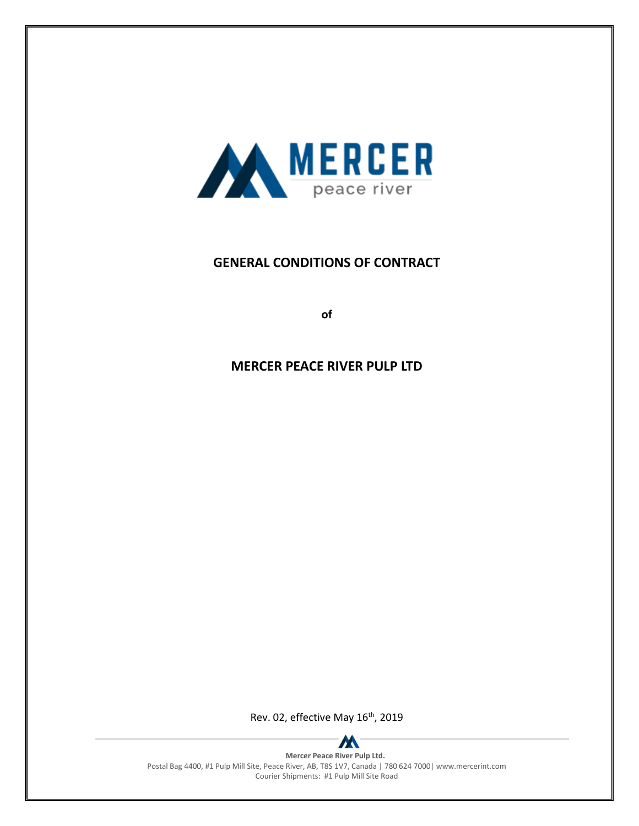

# **GENERAL CONDITIONS OF CONTRACT**

**of**

# **MERCER PEACE RIVER PULP LTD**

Rev. 02, effective May 16<sup>th</sup>, 2019



**Mercer Peace River Pulp Ltd.** Postal Bag 4400, #1 Pulp Mill Site, Peace River, AB, T8S 1V7, Canada | 780 624 7000| www.mercerint.com Courier Shipments: #1 Pulp Mill Site Road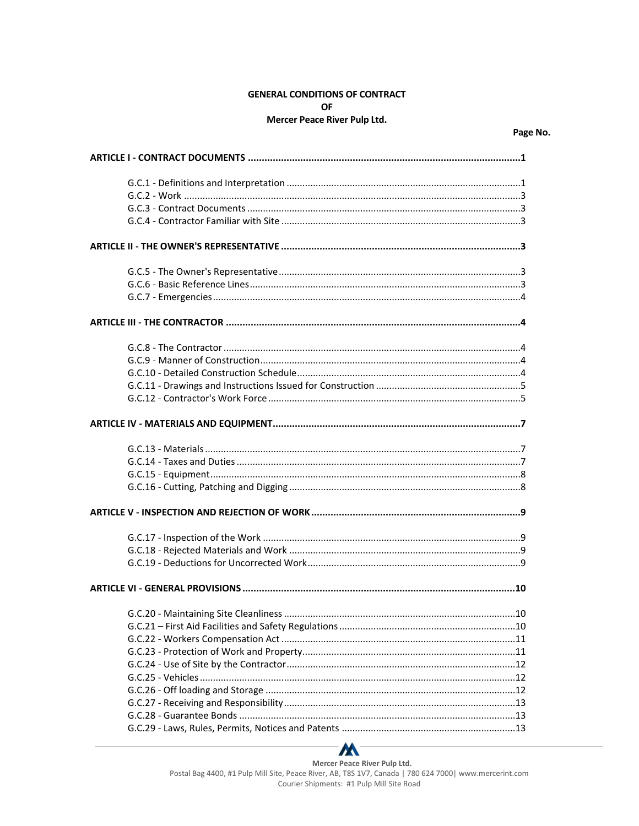# **GENERAL CONDITIONS OF CONTRACT OF**

#### Mercer Peace River Pulp Ltd.



Mercer Peace River Pulp Ltd. Postal Bag 4400, #1 Pulp Mill Site, Peace River, AB, T8S 1V7, Canada | 780 624 7000| www.mercerint.com Courier Shipments: #1 Pulp Mill Site Road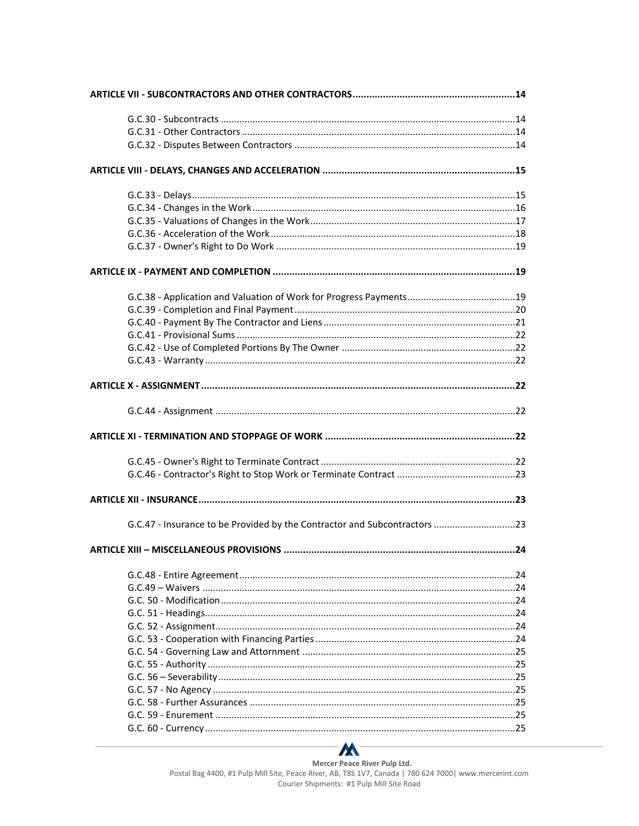| G.C.47 - Insurance to be Provided by the Contractor and Subcontractors 23 |  |
|---------------------------------------------------------------------------|--|
|                                                                           |  |
|                                                                           |  |
|                                                                           |  |
|                                                                           |  |
|                                                                           |  |
|                                                                           |  |
|                                                                           |  |
|                                                                           |  |
|                                                                           |  |
|                                                                           |  |
|                                                                           |  |
|                                                                           |  |
|                                                                           |  |
|                                                                           |  |
|                                                                           |  |



Mercer Peace River Pulp Ltd.<br>Postal Bag 4400, #1 Pulp Mill Site, Peace River, AB, T8S 1V7, Canada | 780 624 7000| www.mercerint.com Courier Shipments: #1 Pulp Mill Site Road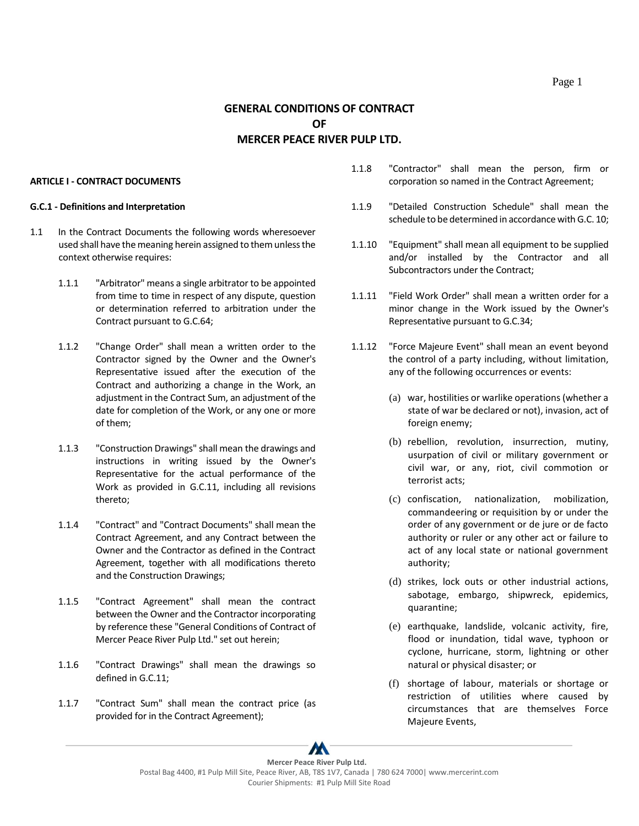## **GENERAL CONDITIONS OF CONTRACT OF MERCER PEACE RIVER PULP LTD.**

#### <span id="page-5-0"></span>**ARTICLE I - CONTRACT DOCUMENTS**

#### <span id="page-5-1"></span>**G.C.1 - Definitions and Interpretation**

- 1.1 In the Contract Documents the following words wheresoever used shall have the meaning herein assigned to them unless the context otherwise requires:
	- 1.1.1 "Arbitrator" means a single arbitrator to be appointed from time to time in respect of any dispute, question or determination referred to arbitration under the Contract pursuant to G.C.64;
	- 1.1.2 "Change Order" shall mean a written order to the Contractor signed by the Owner and the Owner's Representative issued after the execution of the Contract and authorizing a change in the Work, an adjustment in the Contract Sum, an adjustment of the date for completion of the Work, or any one or more of them;
	- 1.1.3 "Construction Drawings" shall mean the drawings and instructions in writing issued by the Owner's Representative for the actual performance of the Work as provided in G.C.11, including all revisions thereto;
	- 1.1.4 "Contract" and "Contract Documents" shall mean the Contract Agreement, and any Contract between the Owner and the Contractor as defined in the Contract Agreement, together with all modifications thereto and the Construction Drawings;
	- 1.1.5 "Contract Agreement" shall mean the contract between the Owner and the Contractor incorporating by reference these "General Conditions of Contract of Mercer Peace River Pulp Ltd." set out herein;
	- 1.1.6 "Contract Drawings" shall mean the drawings so defined in G.C.11;
	- 1.1.7 "Contract Sum" shall mean the contract price (as provided for in the Contract Agreement);
- 1.1.8 "Contractor" shall mean the person, firm or corporation so named in the Contract Agreement;
- 1.1.9 "Detailed Construction Schedule" shall mean the schedule to be determined in accordance with G.C. 10;
- 1.1.10 "Equipment" shall mean all equipment to be supplied and/or installed by the Contractor and all Subcontractors under the Contract;
- 1.1.11 "Field Work Order" shall mean a written order for a minor change in the Work issued by the Owner's Representative pursuant to G.C.34;
- 1.1.12 "Force Majeure Event" shall mean an event beyond the control of a party including, without limitation, any of the following occurrences or events:
	- (a) war, hostilities or warlike operations (whether a state of war be declared or not), invasion, act of foreign enemy;
	- (b) rebellion, revolution, insurrection, mutiny, usurpation of civil or military government or civil war, or any, riot, civil commotion or terrorist acts;
	- (c) confiscation, nationalization, mobilization, commandeering or requisition by or under the order of any government or de jure or de facto authority or ruler or any other act or failure to act of any local state or national government authority;
	- (d) strikes, lock outs or other industrial actions, sabotage, embargo, shipwreck, epidemics, quarantine;
	- (e) earthquake, landslide, volcanic activity, fire, flood or inundation, tidal wave, typhoon or cyclone, hurricane, storm, lightning or other natural or physical disaster; or
	- (f) shortage of labour, materials or shortage or restriction of utilities where caused by circumstances that are themselves Force Majeure Events,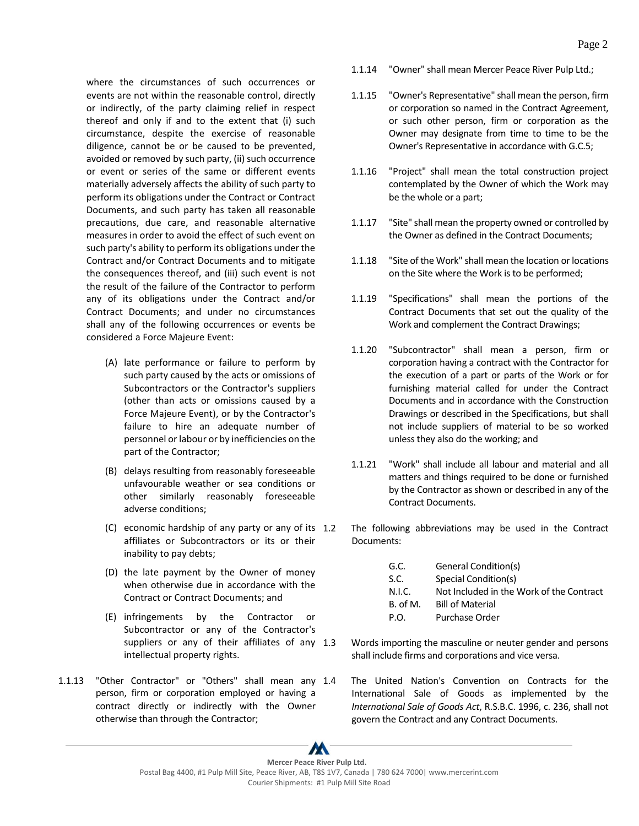where the circumstances of such occurrences or events are not within the reasonable control, directly or indirectly, of the party claiming relief in respect thereof and only if and to the extent that (i) such circumstance, despite the exercise of reasonable diligence, cannot be or be caused to be prevented, avoided or removed by such party, (ii) such occurrence or event or series of the same or different events materially adversely affects the ability of such party to perform its obligations under the Contract or Contract Documents, and such party has taken all reasonable precautions, due care, and reasonable alternative measures in order to avoid the effect of such event on such party's ability to perform its obligations under the Contract and/or Contract Documents and to mitigate the consequences thereof, and (iii) such event is not the result of the failure of the Contractor to perform any of its obligations under the Contract and/or Contract Documents; and under no circumstances shall any of the following occurrences or events be considered a Force Majeure Event:

- (A) late performance or failure to perform by such party caused by the acts or omissions of Subcontractors or the Contractor's suppliers (other than acts or omissions caused by a Force Majeure Event), or by the Contractor's failure to hire an adequate number of personnel or labour or by inefficiencies on the part of the Contractor;
- (B) delays resulting from reasonably foreseeable unfavourable weather or sea conditions or other similarly reasonably foreseeable adverse conditions;
- (C) economic hardship of any party or any of its affiliates or Subcontractors or its or their inability to pay debts;
- (D) the late payment by the Owner of money when otherwise due in accordance with the Contract or Contract Documents; and
- (E) infringements by the Contractor or Subcontractor or any of the Contractor's suppliers or any of their affiliates of any 1.3 intellectual property rights.
- 1.1.13 "Other Contractor" or "Others" shall mean any person, firm or corporation employed or having a contract directly or indirectly with the Owner otherwise than through the Contractor;
- 1.1.14 "Owner" shall mean Mercer Peace River Pulp Ltd.;
- 1.1.15 "Owner's Representative" shall mean the person, firm or corporation so named in the Contract Agreement, or such other person, firm or corporation as the Owner may designate from time to time to be the Owner's Representative in accordance with G.C.5;
- 1.1.16 "Project" shall mean the total construction project contemplated by the Owner of which the Work may be the whole or a part;
- 1.1.17 "Site" shall mean the property owned or controlled by the Owner as defined in the Contract Documents;
- 1.1.18 "Site of the Work" shall mean the location or locations on the Site where the Work is to be performed;
- 1.1.19 "Specifications" shall mean the portions of the Contract Documents that set out the quality of the Work and complement the Contract Drawings;
- 1.1.20 "Subcontractor" shall mean a person, firm or corporation having a contract with the Contractor for the execution of a part or parts of the Work or for furnishing material called for under the Contract Documents and in accordance with the Construction Drawings or described in the Specifications, but shall not include suppliers of material to be so worked unless they also do the working; and
- 1.1.21 "Work" shall include all labour and material and all matters and things required to be done or furnished by the Contractor as shown or described in any of the Contract Documents.
- The following abbreviations may be used in the Contract Documents:
	- G.C. General Condition(s) S.C. Special Condition(s) N.I.C. Not Included in the Work of the Contract B. of M. Bill of Material P.O. Purchase Order
	- Words importing the masculine or neuter gender and persons shall include firms and corporations and vice versa.
	- The United Nation's Convention on Contracts for the International Sale of Goods as implemented by the *International Sale of Goods Act*, R.S.B.C. 1996, c. 236, shall not govern the Contract and any Contract Documents.

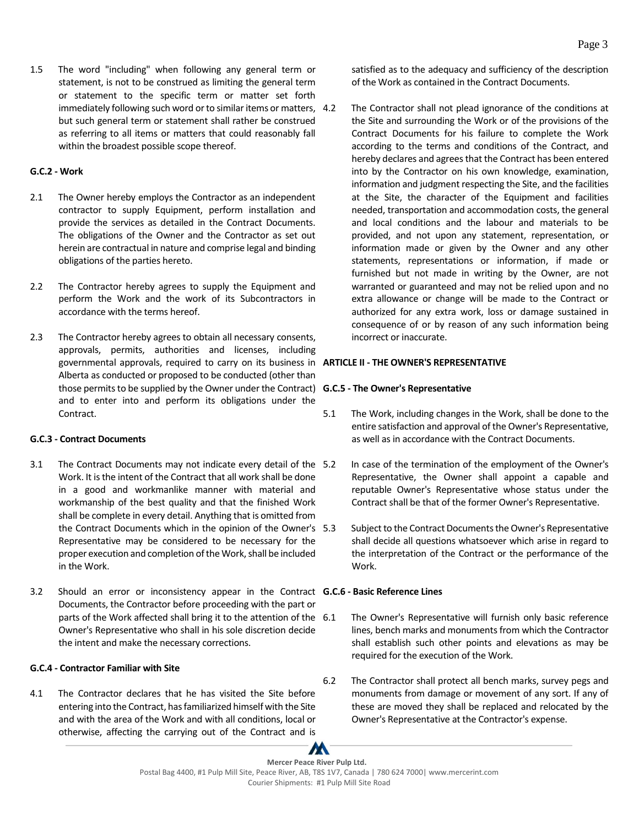1.5 The word "including" when following any general term or statement, is not to be construed as limiting the general term or statement to the specific term or matter set forth immediately following such word or to similar items or matters, 4.2 but such general term or statement shall rather be construed as referring to all items or matters that could reasonably fall within the broadest possible scope thereof.

### <span id="page-7-0"></span>**G.C.2 - Work**

- 2.1 The Owner hereby employs the Contractor as an independent contractor to supply Equipment, perform installation and provide the services as detailed in the Contract Documents. The obligations of the Owner and the Contractor as set out herein are contractual in nature and comprise legal and binding obligations of the parties hereto.
- 2.2 The Contractor hereby agrees to supply the Equipment and perform the Work and the work of its Subcontractors in accordance with the terms hereof.
- 2.3 The Contractor hereby agrees to obtain all necessary consents, approvals, permits, authorities and licenses, including governmental approvals, required to carry on its business in **ARTICLE II - THE OWNER'S REPRESENTATIVE** Alberta as conducted or proposed to be conducted (other than those permits to be supplied by the Owner under the Contract) **G.C.5 - The Owner's Representative** and to enter into and perform its obligations under the Contract.

### <span id="page-7-1"></span>**G.C.3 - Contract Documents**

- 3.1 The Contract Documents may not indicate every detail of the 5.2 Work. It is the intent of the Contract that all work shall be done in a good and workmanlike manner with material and workmanship of the best quality and that the finished Work shall be complete in every detail. Anything that is omitted from the Contract Documents which in the opinion of the Owner's Representative may be considered to be necessary for the proper execution and completion of the Work, shall be included in the Work.
- 3.2 Should an error or inconsistency appear in the Contract **G.C.6 - Basic Reference Lines** Documents, the Contractor before proceeding with the part or parts of the Work affected shall bring it to the attention of the 6.1 Owner's Representative who shall in his sole discretion decide the intent and make the necessary corrections.

### <span id="page-7-2"></span>**G.C.4 - Contractor Familiar with Site**

4.1 The Contractor declares that he has visited the Site before entering into the Contract, has familiarized himself with the Site and with the area of the Work and with all conditions, local or otherwise, affecting the carrying out of the Contract and is

satisfied as to the adequacy and sufficiency of the description of the Work as contained in the Contract Documents.

The Contractor shall not plead ignorance of the conditions at the Site and surrounding the Work or of the provisions of the Contract Documents for his failure to complete the Work according to the terms and conditions of the Contract, and hereby declares and agrees that the Contract has been entered into by the Contractor on his own knowledge, examination, information and judgment respecting the Site, and the facilities at the Site, the character of the Equipment and facilities needed, transportation and accommodation costs, the general and local conditions and the labour and materials to be provided, and not upon any statement, representation, or information made or given by the Owner and any other statements, representations or information, if made or furnished but not made in writing by the Owner, are not warranted or guaranteed and may not be relied upon and no extra allowance or change will be made to the Contract or authorized for any extra work, loss or damage sustained in consequence of or by reason of any such information being incorrect or inaccurate.

- <span id="page-7-4"></span><span id="page-7-3"></span>5.1 The Work, including changes in the Work, shall be done to the entire satisfaction and approval of the Owner's Representative, as well as in accordance with the Contract Documents.
	- In case of the termination of the employment of the Owner's Representative, the Owner shall appoint a capable and reputable Owner's Representative whose status under the Contract shall be that of the former Owner's Representative.
	- Subject to the Contract Documents the Owner's Representative shall decide all questions whatsoever which arise in regard to the interpretation of the Contract or the performance of the Work.

- <span id="page-7-5"></span>The Owner's Representative will furnish only basic reference lines, bench marks and monuments from which the Contractor shall establish such other points and elevations as may be required for the execution of the Work.
- 6.2 The Contractor shall protect all bench marks, survey pegs and monuments from damage or movement of any sort. If any of these are moved they shall be replaced and relocated by the Owner's Representative at the Contractor's expense.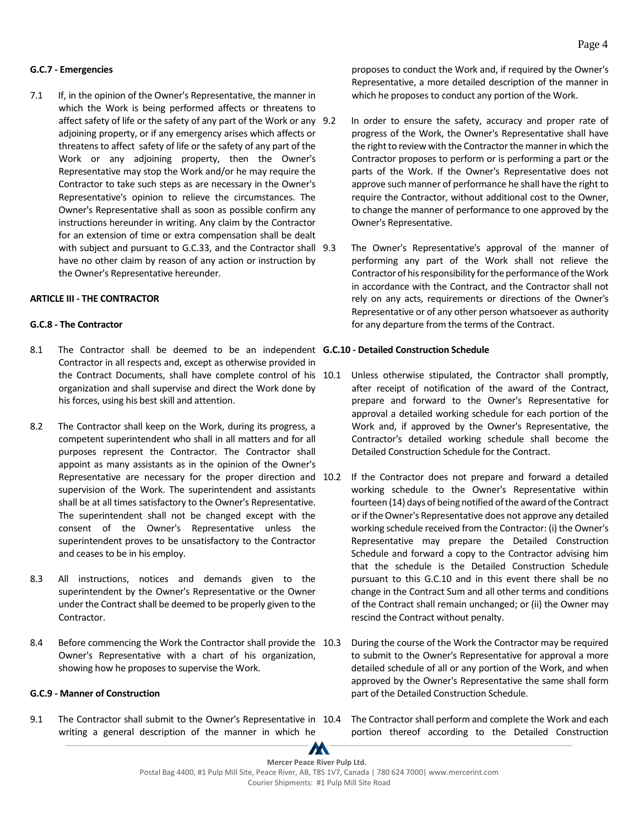#### <span id="page-8-0"></span>**G.C.7 - Emergencies**

7.1 If, in the opinion of the Owner's Representative, the manner in which the Work is being performed affects or threatens to affect safety of life or the safety of any part of the Work or any 9.2 adjoining property, or if any emergency arises which affects or threatens to affect safety of life or the safety of any part of the Work or any adjoining property, then the Owner's Representative may stop the Work and/or he may require the Contractor to take such steps as are necessary in the Owner's Representative's opinion to relieve the circumstances. The Owner's Representative shall as soon as possible confirm any instructions hereunder in writing. Any claim by the Contractor for an extension of time or extra compensation shall be dealt with subject and pursuant to G.C.33, and the Contractor shall 9.3 have no other claim by reason of any action or instruction by the Owner's Representative hereunder.

#### <span id="page-8-1"></span>**ARTICLE III - THE CONTRACTOR**

#### <span id="page-8-2"></span>**G.C.8 - The Contractor**

- 8.1 The Contractor shall be deemed to be an independent **G.C.10 - Detailed Construction Schedule** Contractor in all respects and, except as otherwise provided in the Contract Documents, shall have complete control of his 10.1 organization and shall supervise and direct the Work done by his forces, using his best skill and attention.
- 8.2 The Contractor shall keep on the Work, during its progress, a competent superintendent who shall in all matters and for all purposes represent the Contractor. The Contractor shall appoint as many assistants as in the opinion of the Owner's Representative are necessary for the proper direction and 10.2 supervision of the Work. The superintendent and assistants shall be at all times satisfactory to the Owner's Representative. The superintendent shall not be changed except with the consent of the Owner's Representative unless the superintendent proves to be unsatisfactory to the Contractor and ceases to be in his employ.
- 8.3 All instructions, notices and demands given to the superintendent by the Owner's Representative or the Owner under the Contract shall be deemed to be properly given to the Contractor.
- 8.4 Before commencing the Work the Contractor shall provide the 10.3 Owner's Representative with a chart of his organization, showing how he proposes to supervise the Work.

#### <span id="page-8-3"></span>**G.C.9 - Manner of Construction**

9.1 The Contractor shall submit to the Owner's Representative in 10.4 writing a general description of the manner in which he

proposes to conduct the Work and, if required by the Owner's Representative, a more detailed description of the manner in which he proposes to conduct any portion of the Work.

- In order to ensure the safety, accuracy and proper rate of progress of the Work, the Owner's Representative shall have the right to review with the Contractor the manner in which the Contractor proposes to perform or is performing a part or the parts of the Work. If the Owner's Representative does not approve such manner of performance he shall have the right to require the Contractor, without additional cost to the Owner, to change the manner of performance to one approved by the Owner's Representative.
- The Owner's Representative's approval of the manner of performing any part of the Work shall not relieve the Contractor of his responsibility for the performance of the Work in accordance with the Contract, and the Contractor shall not rely on any acts, requirements or directions of the Owner's Representative or of any other person whatsoever as authority for any departure from the terms of the Contract.

- <span id="page-8-4"></span>Unless otherwise stipulated, the Contractor shall promptly, after receipt of notification of the award of the Contract, prepare and forward to the Owner's Representative for approval a detailed working schedule for each portion of the Work and, if approved by the Owner's Representative, the Contractor's detailed working schedule shall become the Detailed Construction Schedule for the Contract.
- If the Contractor does not prepare and forward a detailed working schedule to the Owner's Representative within fourteen (14) days of being notified of the award of the Contract or if the Owner's Representative does not approve any detailed working schedule received from the Contractor: (i) the Owner's Representative may prepare the Detailed Construction Schedule and forward a copy to the Contractor advising him that the schedule is the Detailed Construction Schedule pursuant to this G.C.10 and in this event there shall be no change in the Contract Sum and all other terms and conditions of the Contract shall remain unchanged; or (ii) the Owner may rescind the Contract without penalty.
- During the course of the Work the Contractor may be required to submit to the Owner's Representative for approval a more detailed schedule of all or any portion of the Work, and when approved by the Owner's Representative the same shall form part of the Detailed Construction Schedule.
	- The Contractor shall perform and complete the Work and each portion thereof according to the Detailed Construction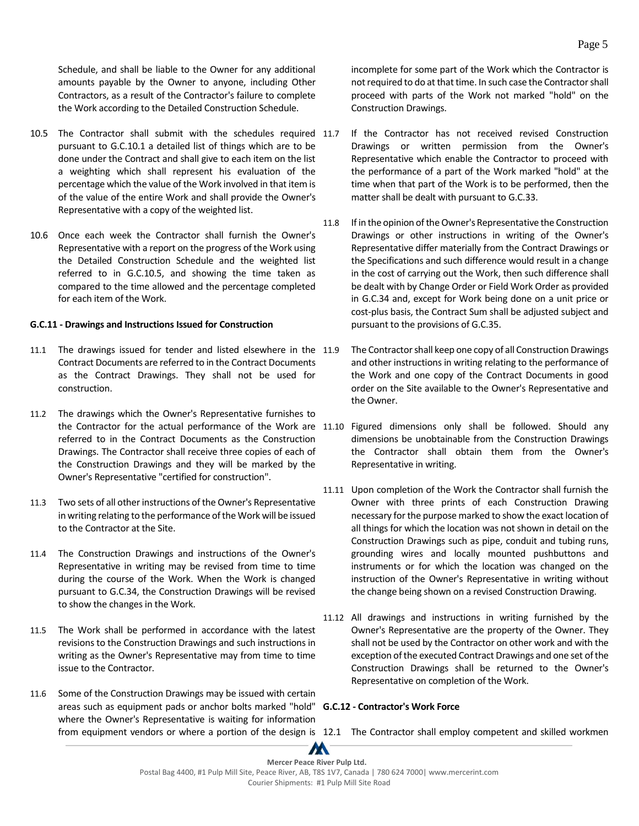Schedule, and shall be liable to the Owner for any additional amounts payable by the Owner to anyone, including Other Contractors, as a result of the Contractor's failure to complete the Work according to the Detailed Construction Schedule.

- 10.5 The Contractor shall submit with the schedules required 11.7 pursuant to G.C.10.1 a detailed list of things which are to be done under the Contract and shall give to each item on the list a weighting which shall represent his evaluation of the percentage which the value of the Work involved in that item is of the value of the entire Work and shall provide the Owner's Representative with a copy of the weighted list.
- 10.6 Once each week the Contractor shall furnish the Owner's Representative with a report on the progress of the Work using the Detailed Construction Schedule and the weighted list referred to in G.C.10.5, and showing the time taken as compared to the time allowed and the percentage completed for each item of the Work.

#### <span id="page-9-0"></span>**G.C.11 - Drawings and Instructions Issued for Construction**

- 11.1 The drawings issued for tender and listed elsewhere in the 11.9 Contract Documents are referred to in the Contract Documents as the Contract Drawings. They shall not be used for construction.
- 11.2 The drawings which the Owner's Representative furnishes to referred to in the Contract Documents as the Construction Drawings. The Contractor shall receive three copies of each of the Construction Drawings and they will be marked by the Owner's Representative "certified for construction".
- 11.3 Two sets of all other instructions of the Owner's Representative in writing relating to the performance of the Work will be issued to the Contractor at the Site.
- 11.4 The Construction Drawings and instructions of the Owner's Representative in writing may be revised from time to time during the course of the Work. When the Work is changed pursuant to G.C.34, the Construction Drawings will be revised to show the changes in the Work.
- 11.5 The Work shall be performed in accordance with the latest revisions to the Construction Drawings and such instructions in writing as the Owner's Representative may from time to time issue to the Contractor.
- 11.6 Some of the Construction Drawings may be issued with certain areas such as equipment pads or anchor bolts marked "hold" **G.C.12 - Contractor's Work Force** where the Owner's Representative is waiting for information

incomplete for some part of the Work which the Contractor is not required to do at that time. In such case the Contractor shall proceed with parts of the Work not marked "hold" on the Construction Drawings.

- If the Contractor has not received revised Construction Drawings or written permission from the Owner's Representative which enable the Contractor to proceed with the performance of a part of the Work marked "hold" at the time when that part of the Work is to be performed, then the matter shall be dealt with pursuant to G.C.33.
- 11.8 If in the opinion of the Owner's Representative the Construction Drawings or other instructions in writing of the Owner's Representative differ materially from the Contract Drawings or the Specifications and such difference would result in a change in the cost of carrying out the Work, then such difference shall be dealt with by Change Order or Field Work Order as provided in G.C.34 and, except for Work being done on a unit price or cost-plus basis, the Contract Sum shall be adjusted subject and pursuant to the provisions of G.C.35.
- The Contractor shall keep one copy of all Construction Drawings and other instructions in writing relating to the performance of the Work and one copy of the Contract Documents in good order on the Site available to the Owner's Representative and the Owner.
- the Contractor for the actual performance of the Work are 11.10 Figured dimensions only shall be followed. Should any dimensions be unobtainable from the Construction Drawings the Contractor shall obtain them from the Owner's Representative in writing.
	- 11.11 Upon completion of the Work the Contractor shall furnish the Owner with three prints of each Construction Drawing necessary for the purpose marked to show the exact location of all things for which the location was not shown in detail on the Construction Drawings such as pipe, conduit and tubing runs, grounding wires and locally mounted pushbuttons and instruments or for which the location was changed on the instruction of the Owner's Representative in writing without the change being shown on a revised Construction Drawing.
	- 11.12 All drawings and instructions in writing furnished by the Owner's Representative are the property of the Owner. They shall not be used by the Contractor on other work and with the exception of the executed Contract Drawings and one set of the Construction Drawings shall be returned to the Owner's Representative on completion of the Work.

<span id="page-9-1"></span>from equipment vendors or where a portion of the design is 12.1 The Contractor shall employ competent and skilled workmen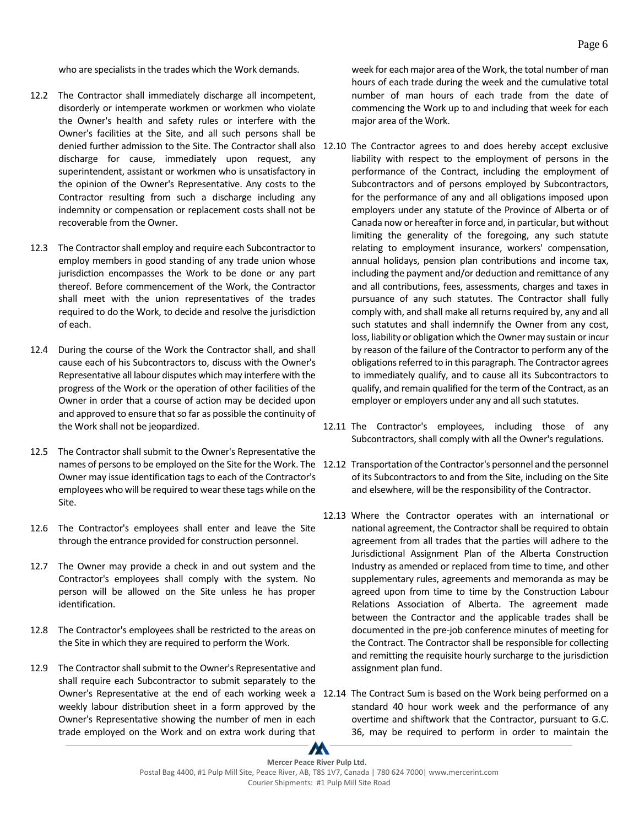who are specialists in the trades which the Work demands.

- 12.2 The Contractor shall immediately discharge all incompetent, disorderly or intemperate workmen or workmen who violate the Owner's health and safety rules or interfere with the Owner's facilities at the Site, and all such persons shall be discharge for cause, immediately upon request, any superintendent, assistant or workmen who is unsatisfactory in the opinion of the Owner's Representative. Any costs to the Contractor resulting from such a discharge including any indemnity or compensation or replacement costs shall not be recoverable from the Owner.
- 12.3 The Contractor shall employ and require each Subcontractor to employ members in good standing of any trade union whose jurisdiction encompasses the Work to be done or any part thereof. Before commencement of the Work, the Contractor shall meet with the union representatives of the trades required to do the Work, to decide and resolve the jurisdiction of each.
- 12.4 During the course of the Work the Contractor shall, and shall cause each of his Subcontractors to, discuss with the Owner's Representative all labour disputes which may interfere with the progress of the Work or the operation of other facilities of the Owner in order that a course of action may be decided upon and approved to ensure that so far as possible the continuity of the Work shall not be jeopardized.
- 12.5 The Contractor shall submit to the Owner's Representative the Owner may issue identification tagsto each of the Contractor's employees who will be required to wear these tags while on the Site.
- 12.6 The Contractor's employees shall enter and leave the Site through the entrance provided for construction personnel.
- 12.7 The Owner may provide a check in and out system and the Contractor's employees shall comply with the system. No person will be allowed on the Site unless he has proper identification.
- 12.8 The Contractor's employees shall be restricted to the areas on the Site in which they are required to perform the Work.
- 12.9 The Contractor shall submit to the Owner's Representative and shall require each Subcontractor to submit separately to the weekly labour distribution sheet in a form approved by the Owner's Representative showing the number of men in each trade employed on the Work and on extra work during that

week for each major area of the Work, the total number of man hours of each trade during the week and the cumulative total number of man hours of each trade from the date of commencing the Work up to and including that week for each major area of the Work.

- denied further admission to the Site. The Contractor shall also 12.10 The Contractor agrees to and does hereby accept exclusive liability with respect to the employment of persons in the performance of the Contract, including the employment of Subcontractors and of persons employed by Subcontractors, for the performance of any and all obligations imposed upon employers under any statute of the Province of Alberta or of Canada now or hereafter in force and, in particular, but without limiting the generality of the foregoing, any such statute relating to employment insurance, workers' compensation, annual holidays, pension plan contributions and income tax, including the payment and/or deduction and remittance of any and all contributions, fees, assessments, charges and taxes in pursuance of any such statutes. The Contractor shall fully comply with, and shall make all returns required by, any and all such statutes and shall indemnify the Owner from any cost, loss, liability or obligation which the Owner may sustain or incur by reason of the failure of the Contractor to perform any of the obligations referred to in this paragraph. The Contractor agrees to immediately qualify, and to cause all its Subcontractors to qualify, and remain qualified for the term of the Contract, as an employer or employers under any and all such statutes.
	- 12.11 The Contractor's employees, including those of any Subcontractors, shall comply with all the Owner's regulations.
- names of persons to be employed on the Site for the Work. The 12.12 Transportation of the Contractor's personnel and the personnel of its Subcontractors to and from the Site, including on the Site and elsewhere, will be the responsibility of the Contractor.
	- 12.13 Where the Contractor operates with an international or national agreement, the Contractor shall be required to obtain agreement from all trades that the parties will adhere to the Jurisdictional Assignment Plan of the Alberta Construction Industry as amended or replaced from time to time, and other supplementary rules, agreements and memoranda as may be agreed upon from time to time by the Construction Labour Relations Association of Alberta. The agreement made between the Contractor and the applicable trades shall be documented in the pre-job conference minutes of meeting for the Contract. The Contractor shall be responsible for collecting and remitting the requisite hourly surcharge to the jurisdiction assignment plan fund.
- Owner's Representative at the end of each working week a 12.14 The Contract Sum is based on the Work being performed on a standard 40 hour work week and the performance of any overtime and shiftwork that the Contractor, pursuant to G.C. 36, may be required to perform in order to maintain the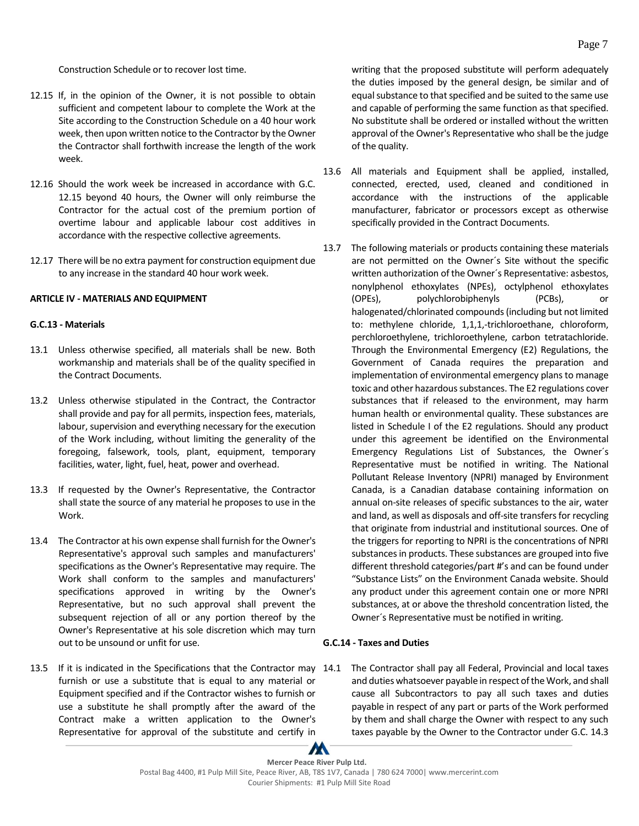Construction Schedule or to recover lost time.

- 12.15 If, in the opinion of the Owner, it is not possible to obtain sufficient and competent labour to complete the Work at the Site according to the Construction Schedule on a 40 hour work week, then upon written notice to the Contractor by the Owner the Contractor shall forthwith increase the length of the work week.
- 12.16 Should the work week be increased in accordance with G.C. 12.15 beyond 40 hours, the Owner will only reimburse the Contractor for the actual cost of the premium portion of overtime labour and applicable labour cost additives in accordance with the respective collective agreements.
- 12.17 There will be no extra payment for construction equipment due to any increase in the standard 40 hour work week.

#### <span id="page-11-0"></span>**ARTICLE IV - MATERIALS AND EQUIPMENT**

#### <span id="page-11-1"></span>**G.C.13 - Materials**

- 13.1 Unless otherwise specified, all materials shall be new. Both workmanship and materials shall be of the quality specified in the Contract Documents.
- 13.2 Unless otherwise stipulated in the Contract, the Contractor shall provide and pay for all permits, inspection fees, materials, labour, supervision and everything necessary for the execution of the Work including, without limiting the generality of the foregoing, falsework, tools, plant, equipment, temporary facilities, water, light, fuel, heat, power and overhead.
- 13.3 If requested by the Owner's Representative, the Contractor shall state the source of any material he proposes to use in the Work.
- 13.4 The Contractor at his own expense shall furnish for the Owner's Representative's approval such samples and manufacturers' specifications as the Owner's Representative may require. The Work shall conform to the samples and manufacturers' specifications approved in writing by the Owner's Representative, but no such approval shall prevent the subsequent rejection of all or any portion thereof by the Owner's Representative at his sole discretion which may turn out to be unsound or unfit for use.
- 13.5 If it is indicated in the Specifications that the Contractor may furnish or use a substitute that is equal to any material or Equipment specified and if the Contractor wishes to furnish or use a substitute he shall promptly after the award of the Contract make a written application to the Owner's Representative for approval of the substitute and certify in

writing that the proposed substitute will perform adequately the duties imposed by the general design, be similar and of equal substance to that specified and be suited to the same use and capable of performing the same function as that specified. No substitute shall be ordered or installed without the written approval of the Owner's Representative who shall be the judge of the quality.

- 13.6 All materials and Equipment shall be applied, installed, connected, erected, used, cleaned and conditioned in accordance with the instructions of the applicable manufacturer, fabricator or processors except as otherwise specifically provided in the Contract Documents.
- 13.7 The following materials or products containing these materials are not permitted on the Owner´s Site without the specific written authorization of the Owner´s Representative: asbestos, nonylphenol ethoxylates (NPEs), octylphenol ethoxylates (OPEs), polychlorobiphenyls (PCBs), or halogenated/chlorinated compounds (including but not limited to: methylene chloride, 1,1,1,‐trichloroethane, chloroform, perchloroethylene, trichloroethylene, carbon tetratachloride. Through the Environmental Emergency (E2) Regulations, the Government of Canada requires the preparation and implementation of environmental emergency plans to manage toxic and other hazardous substances. The E2 regulations cover substances that if released to the environment, may harm human health or environmental quality. These substances are listed in Schedule I of the E2 regulations. Should any product under this agreement be identified on the Environmental Emergency Regulations List of Substances, the Owner´s Representative must be notified in writing. The National Pollutant Release Inventory (NPRI) managed by Environment Canada, is a Canadian database containing information on annual on‐site releases of specific substances to the air, water and land, as well as disposals and off‐site transfers for recycling that originate from industrial and institutional sources. One of the triggers for reporting to NPRI is the concentrations of NPRI substances in products. These substances are grouped into five different threshold categories/part #'s and can be found under "Substance Lists" on the Environment Canada website. Should any product under this agreement contain one or more NPRI substances, at or above the threshold concentration listed, the Owner´s Representative must be notified in writing.

### <span id="page-11-2"></span>**G.C.14 - Taxes and Duties**

The Contractor shall pay all Federal, Provincial and local taxes and duties whatsoever payable in respect of the Work, and shall cause all Subcontractors to pay all such taxes and duties payable in respect of any part or parts of the Work performed by them and shall charge the Owner with respect to any such taxes payable by the Owner to the Contractor under G.C. 14.3

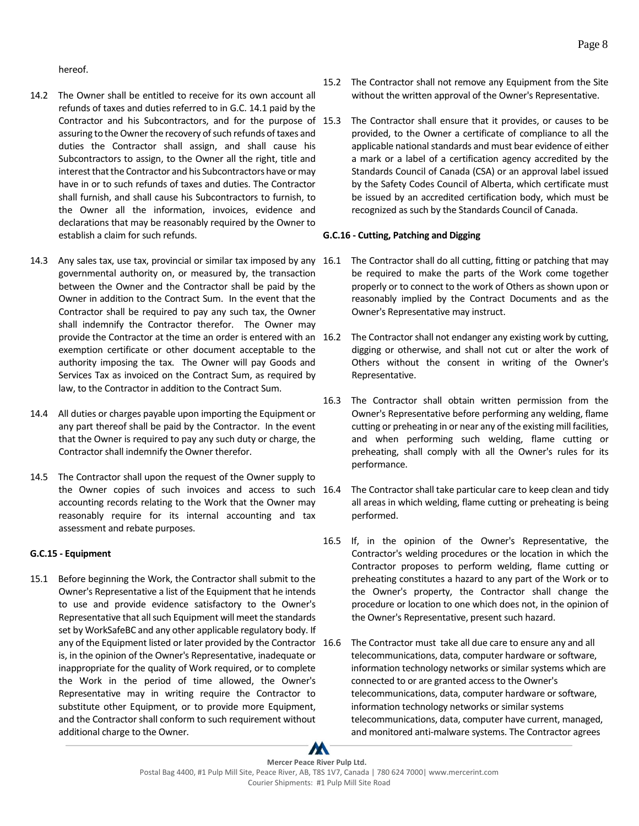hereof.

- 14.2 The Owner shall be entitled to receive for its own account all refunds of taxes and duties referred to in G.C. 14.1 paid by the Contractor and his Subcontractors, and for the purpose of 15.3 assuring to the Owner the recovery of such refunds of taxes and duties the Contractor shall assign, and shall cause his Subcontractors to assign, to the Owner all the right, title and interest that the Contractor and his Subcontractors have or may have in or to such refunds of taxes and duties. The Contractor shall furnish, and shall cause his Subcontractors to furnish, to the Owner all the information, invoices, evidence and declarations that may be reasonably required by the Owner to establish a claim for such refunds.
- 14.3 Any sales tax, use tax, provincial or similar tax imposed by any 16.1 governmental authority on, or measured by, the transaction between the Owner and the Contractor shall be paid by the Owner in addition to the Contract Sum. In the event that the Contractor shall be required to pay any such tax, the Owner shall indemnify the Contractor therefor. The Owner may provide the Contractor at the time an order is entered with an exemption certificate or other document acceptable to the authority imposing the tax. The Owner will pay Goods and Services Tax as invoiced on the Contract Sum, as required by law, to the Contractor in addition to the Contract Sum.
- 14.4 All duties or charges payable upon importing the Equipment or any part thereof shall be paid by the Contractor. In the event that the Owner is required to pay any such duty or charge, the Contractor shall indemnify the Owner therefor.
- 14.5 The Contractor shall upon the request of the Owner supply to the Owner copies of such invoices and access to such 16.4 accounting records relating to the Work that the Owner may reasonably require for its internal accounting and tax assessment and rebate purposes.

### <span id="page-12-0"></span>**G.C.15 - Equipment**

15.1 Before beginning the Work, the Contractor shall submit to the Owner's Representative a list of the Equipment that he intends to use and provide evidence satisfactory to the Owner's Representative that all such Equipment will meet the standards set by WorkSafeBC and any other applicable regulatory body. If any of the Equipment listed or later provided by the Contractor 16.6 is, in the opinion of the Owner's Representative, inadequate or inappropriate for the quality of Work required, or to complete the Work in the period of time allowed, the Owner's Representative may in writing require the Contractor to substitute other Equipment, or to provide more Equipment, and the Contractor shall conform to such requirement without additional charge to the Owner.

- 15.2 The Contractor shall not remove any Equipment from the Site without the written approval of the Owner's Representative.
- The Contractor shall ensure that it provides, or causes to be provided, to the Owner a certificate of compliance to all the applicable national standards and must bear evidence of either a mark or a label of a certification agency accredited by the Standards Council of Canada (CSA) or an approval label issued by the Safety Codes Council of Alberta, which certificate must be issued by an accredited certification body, which must be recognized as such by the Standards Council of Canada.

#### <span id="page-12-1"></span>**G.C.16 - Cutting, Patching and Digging**

- The Contractor shall do all cutting, fitting or patching that may be required to make the parts of the Work come together properly or to connect to the work of Others as shown upon or reasonably implied by the Contract Documents and as the Owner's Representative may instruct.
- The Contractor shall not endanger any existing work by cutting, digging or otherwise, and shall not cut or alter the work of Others without the consent in writing of the Owner's Representative.
- 16.3 The Contractor shall obtain written permission from the Owner's Representative before performing any welding, flame cutting or preheating in or near any of the existing mill facilities, and when performing such welding, flame cutting or preheating, shall comply with all the Owner's rules for its performance.
- The Contractor shall take particular care to keep clean and tidy all areas in which welding, flame cutting or preheating is being performed.
- 16.5 If, in the opinion of the Owner's Representative, the Contractor's welding procedures or the location in which the Contractor proposes to perform welding, flame cutting or preheating constitutes a hazard to any part of the Work or to the Owner's property, the Contractor shall change the procedure or location to one which does not, in the opinion of the Owner's Representative, present such hazard.
- The Contractor must take all due care to ensure any and all telecommunications, data, computer hardware or software, information technology networks or similar systems which are connected to or are granted access to the Owner's telecommunications, data, computer hardware or software, information technology networks or similar systems telecommunications, data, computer have current, managed, and monitored anti-malware systems. The Contractor agrees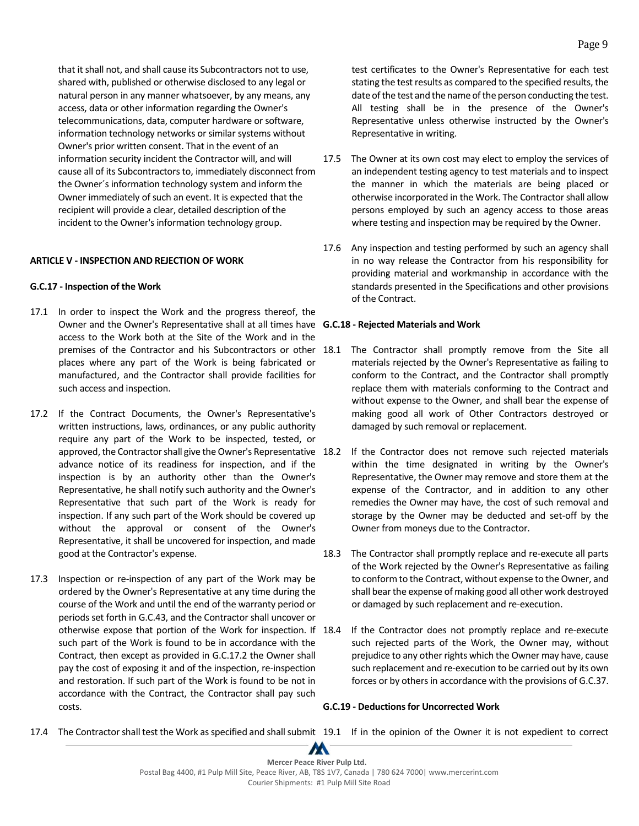that it shall not, and shall cause its Subcontractors not to use, shared with, published or otherwise disclosed to any legal or natural person in any manner whatsoever, by any means, any access, data or other information regarding the Owner's telecommunications, data, computer hardware or software, information technology networks or similar systems without Owner's prior written consent. That in the event of an information security incident the Contractor will, and will cause all of its Subcontractors to, immediately disconnect from the Owner´s information technology system and inform the Owner immediately of such an event. It is expected that the recipient will provide a clear, detailed description of the incident to the Owner's information technology group.

#### <span id="page-13-0"></span>**ARTICLE V - INSPECTION AND REJECTION OF WORK**

#### <span id="page-13-1"></span>**G.C.17 - Inspection of the Work**

- 17.1 In order to inspect the Work and the progress thereof, the Owner and the Owner's Representative shall at all times have **G.C.18 - Rejected Materials and Work** access to the Work both at the Site of the Work and in the premises of the Contractor and his Subcontractors or other 18.1 places where any part of the Work is being fabricated or manufactured, and the Contractor shall provide facilities for such access and inspection.
- 17.2 If the Contract Documents, the Owner's Representative's written instructions, laws, ordinances, or any public authority require any part of the Work to be inspected, tested, or approved, the Contractor shall give the Owner's Representative 18.2 advance notice of its readiness for inspection, and if the inspection is by an authority other than the Owner's Representative, he shall notify such authority and the Owner's Representative that such part of the Work is ready for inspection. If any such part of the Work should be covered up without the approval or consent of the Owner's Representative, it shall be uncovered for inspection, and made good at the Contractor's expense.
- 17.3 Inspection or re-inspection of any part of the Work may be ordered by the Owner's Representative at any time during the course of the Work and until the end of the warranty period or periods set forth in G.C.43, and the Contractor shall uncover or otherwise expose that portion of the Work for inspection. If such part of the Work is found to be in accordance with the Contract, then except as provided in G.C.17.2 the Owner shall pay the cost of exposing it and of the inspection, re-inspection and restoration. If such part of the Work is found to be not in accordance with the Contract, the Contractor shall pay such costs.

test certificates to the Owner's Representative for each test stating the test results as compared to the specified results, the date of the test and the name of the person conducting the test. All testing shall be in the presence of the Owner's Representative unless otherwise instructed by the Owner's Representative in writing.

- 17.5 The Owner at its own cost may elect to employ the services of an independent testing agency to test materials and to inspect the manner in which the materials are being placed or otherwise incorporated in the Work. The Contractor shall allow persons employed by such an agency access to those areas where testing and inspection may be required by the Owner.
- 17.6 Any inspection and testing performed by such an agency shall in no way release the Contractor from his responsibility for providing material and workmanship in accordance with the standards presented in the Specifications and other provisions of the Contract.

- <span id="page-13-2"></span>The Contractor shall promptly remove from the Site all materials rejected by the Owner's Representative as failing to conform to the Contract, and the Contractor shall promptly replace them with materials conforming to the Contract and without expense to the Owner, and shall bear the expense of making good all work of Other Contractors destroyed or damaged by such removal or replacement.
- If the Contractor does not remove such rejected materials within the time designated in writing by the Owner's Representative, the Owner may remove and store them at the expense of the Contractor, and in addition to any other remedies the Owner may have, the cost of such removal and storage by the Owner may be deducted and set-off by the Owner from moneys due to the Contractor.
- 18.3 The Contractor shall promptly replace and re-execute all parts of the Work rejected by the Owner's Representative as failing to conform to the Contract, without expense to the Owner, and shall bear the expense of making good all other work destroyed or damaged by such replacement and re-execution.
- If the Contractor does not promptly replace and re-execute such rejected parts of the Work, the Owner may, without prejudice to any other rights which the Owner may have, cause such replacement and re-execution to be carried out by its own forces or by others in accordance with the provisions of G.C.37.

#### <span id="page-13-3"></span>**G.C.19 - Deductions for Uncorrected Work**

17.4 The Contractor shall test the Work as specified and shall submit 19.1 If in the opinion of the Owner it is not expedient to correct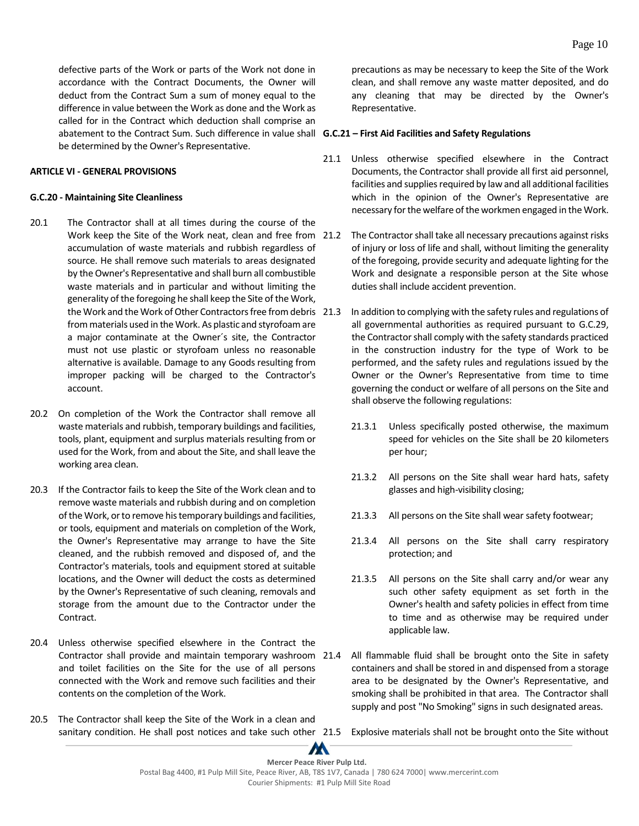defective parts of the Work or parts of the Work not done in accordance with the Contract Documents, the Owner will deduct from the Contract Sum a sum of money equal to the difference in value between the Work as done and the Work as called for in the Contract which deduction shall comprise an abatement to the Contract Sum. Such difference in value shall **G.C.21 – First Aid Facilities and Safety Regulations** be determined by the Owner's Representative.

### <span id="page-14-0"></span>**ARTICLE VI - GENERAL PROVISIONS**

#### <span id="page-14-1"></span>**G.C.20 - Maintaining Site Cleanliness**

- 20.1 The Contractor shall at all times during the course of the Work keep the Site of the Work neat, clean and free from 21.2 accumulation of waste materials and rubbish regardless of source. He shall remove such materials to areas designated by the Owner's Representative and shall burn all combustible waste materials and in particular and without limiting the generality of the foregoing he shall keep the Site of the Work, the Work and the Work of Other Contractors free from debris 21.3 from materials used in the Work. As plastic and styrofoam are a major contaminate at the Owner´s site, the Contractor must not use plastic or styrofoam unless no reasonable alternative is available. Damage to any Goods resulting from improper packing will be charged to the Contractor's account.
- 20.2 On completion of the Work the Contractor shall remove all waste materials and rubbish, temporary buildings and facilities, tools, plant, equipment and surplus materials resulting from or used for the Work, from and about the Site, and shall leave the working area clean.
- 20.3 If the Contractor fails to keep the Site of the Work clean and to remove waste materials and rubbish during and on completion of the Work, or to remove his temporary buildings and facilities, or tools, equipment and materials on completion of the Work, the Owner's Representative may arrange to have the Site cleaned, and the rubbish removed and disposed of, and the Contractor's materials, tools and equipment stored at suitable locations, and the Owner will deduct the costs as determined by the Owner's Representative of such cleaning, removals and storage from the amount due to the Contractor under the Contract.
- 20.4 Unless otherwise specified elsewhere in the Contract the Contractor shall provide and maintain temporary washroom 21.4 and toilet facilities on the Site for the use of all persons connected with the Work and remove such facilities and their contents on the completion of the Work.
- 20.5 The Contractor shall keep the Site of the Work in a clean and sanitary condition. He shall post notices and take such other 21.5 Explosive materials shall not be brought onto the Site without

precautions as may be necessary to keep the Site of the Work clean, and shall remove any waste matter deposited, and do any cleaning that may be directed by the Owner's Representative.

- <span id="page-14-2"></span>21.1 Unless otherwise specified elsewhere in the Contract Documents, the Contractor shall provide all first aid personnel, facilities and supplies required by law and all additional facilities which in the opinion of the Owner's Representative are necessary for the welfare of the workmen engaged in the Work.
- The Contractor shall take all necessary precautions against risks of injury or loss of life and shall, without limiting the generality of the foregoing, provide security and adequate lighting for the Work and designate a responsible person at the Site whose duties shall include accident prevention.
- In addition to complying with the safety rules and regulations of all governmental authorities as required pursuant to G.C.29, the Contractor shall comply with the safety standards practiced in the construction industry for the type of Work to be performed, and the safety rules and regulations issued by the Owner or the Owner's Representative from time to time governing the conduct or welfare of all persons on the Site and shall observe the following regulations:
	- 21.3.1 Unless specifically posted otherwise, the maximum speed for vehicles on the Site shall be 20 kilometers per hour;
	- 21.3.2 All persons on the Site shall wear hard hats, safety glasses and high-visibility closing;
	- 21.3.3 All persons on the Site shall wear safety footwear;
	- 21.3.4 All persons on the Site shall carry respiratory protection; and
	- 21.3.5 All persons on the Site shall carry and/or wear any such other safety equipment as set forth in the Owner's health and safety policies in effect from time to time and as otherwise may be required under applicable law.
- All flammable fluid shall be brought onto the Site in safety containers and shall be stored in and dispensed from a storage area to be designated by the Owner's Representative, and smoking shall be prohibited in that area. The Contractor shall supply and post "No Smoking" signs in such designated areas.
-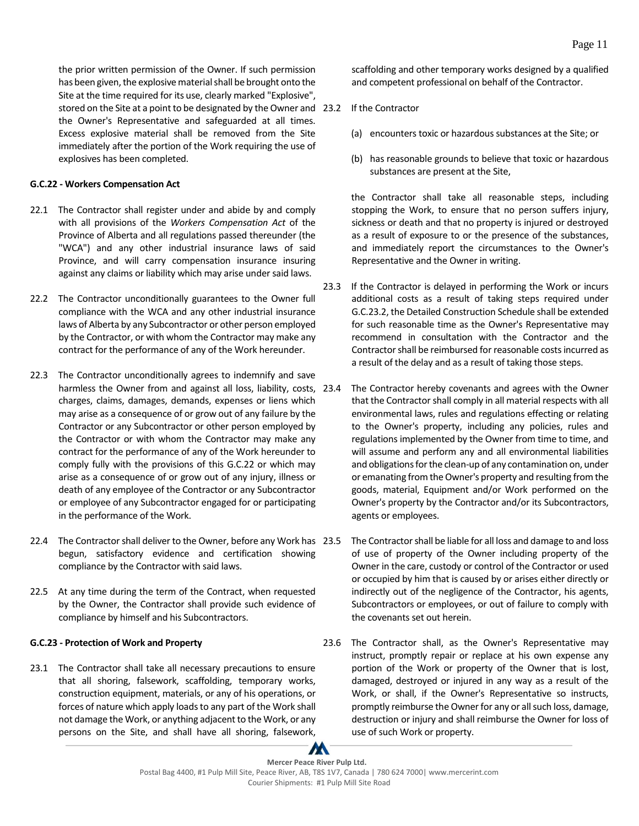the prior written permission of the Owner. If such permission has been given, the explosive material shall be brought onto the Site at the time required for its use, clearly marked "Explosive", stored on the Site at a point to be designated by the Owner and 23.2 the Owner's Representative and safeguarded at all times. Excess explosive material shall be removed from the Site immediately after the portion of the Work requiring the use of explosives has been completed.

### <span id="page-15-0"></span>**G.C.22 - Workers Compensation Act**

- 22.1 The Contractor shall register under and abide by and comply with all provisions of the *Workers Compensation Act* of the Province of Alberta and all regulations passed thereunder (the "WCA") and any other industrial insurance laws of said Province, and will carry compensation insurance insuring against any claims or liability which may arise under said laws.
- 22.2 The Contractor unconditionally guarantees to the Owner full compliance with the WCA and any other industrial insurance laws of Alberta by any Subcontractor or other person employed by the Contractor, or with whom the Contractor may make any contract for the performance of any of the Work hereunder.
- 22.3 The Contractor unconditionally agrees to indemnify and save harmless the Owner from and against all loss, liability, costs, 23.4 charges, claims, damages, demands, expenses or liens which may arise as a consequence of or grow out of any failure by the Contractor or any Subcontractor or other person employed by the Contractor or with whom the Contractor may make any contract for the performance of any of the Work hereunder to comply fully with the provisions of this G.C.22 or which may arise as a consequence of or grow out of any injury, illness or death of any employee of the Contractor or any Subcontractor or employee of any Subcontractor engaged for or participating in the performance of the Work.
- 22.4 The Contractor shall deliver to the Owner, before any Work has 23.5 begun, satisfactory evidence and certification showing compliance by the Contractor with said laws.
- 22.5 At any time during the term of the Contract, when requested by the Owner, the Contractor shall provide such evidence of compliance by himself and his Subcontractors.

### <span id="page-15-1"></span>**G.C.23 - Protection of Work and Property**

23.1 The Contractor shall take all necessary precautions to ensure that all shoring, falsework, scaffolding, temporary works, construction equipment, materials, or any of his operations, or forces of nature which apply loads to any part of the Work shall not damage the Work, or anything adjacent to the Work, or any persons on the Site, and shall have all shoring, falsework, scaffolding and other temporary works designed by a qualified and competent professional on behalf of the Contractor.

- If the Contractor
	- (a) encounters toxic or hazardous substances at the Site; or
	- (b) has reasonable grounds to believe that toxic or hazardous substances are present at the Site,

the Contractor shall take all reasonable steps, including stopping the Work, to ensure that no person suffers injury, sickness or death and that no property is injured or destroyed as a result of exposure to or the presence of the substances, and immediately report the circumstances to the Owner's Representative and the Owner in writing.

- 23.3 If the Contractor is delayed in performing the Work or incurs additional costs as a result of taking steps required under G.C.23.2, the Detailed Construction Schedule shall be extended for such reasonable time as the Owner's Representative may recommend in consultation with the Contractor and the Contractor shall be reimbursed for reasonable costs incurred as a result of the delay and as a result of taking those steps.
	- The Contractor hereby covenants and agrees with the Owner that the Contractor shall comply in all material respects with all environmental laws, rules and regulations effecting or relating to the Owner's property, including any policies, rules and regulations implemented by the Owner from time to time, and will assume and perform any and all environmental liabilities and obligations for the clean-up of any contamination on, under or emanating from the Owner's property and resulting from the goods, material, Equipment and/or Work performed on the Owner's property by the Contractor and/or its Subcontractors, agents or employees.
	- 23.5 The Contractor shall be liable for all loss and damage to and loss of use of property of the Owner including property of the Owner in the care, custody or control of the Contractor or used or occupied by him that is caused by or arises either directly or indirectly out of the negligence of the Contractor, his agents, Subcontractors or employees, or out of failure to comply with the covenants set out herein.
- 23.6 The Contractor shall, as the Owner's Representative may instruct, promptly repair or replace at his own expense any portion of the Work or property of the Owner that is lost, damaged, destroyed or injured in any way as a result of the Work, or shall, if the Owner's Representative so instructs, promptly reimburse the Owner for any or all such loss, damage, destruction or injury and shall reimburse the Owner for loss of use of such Work or property.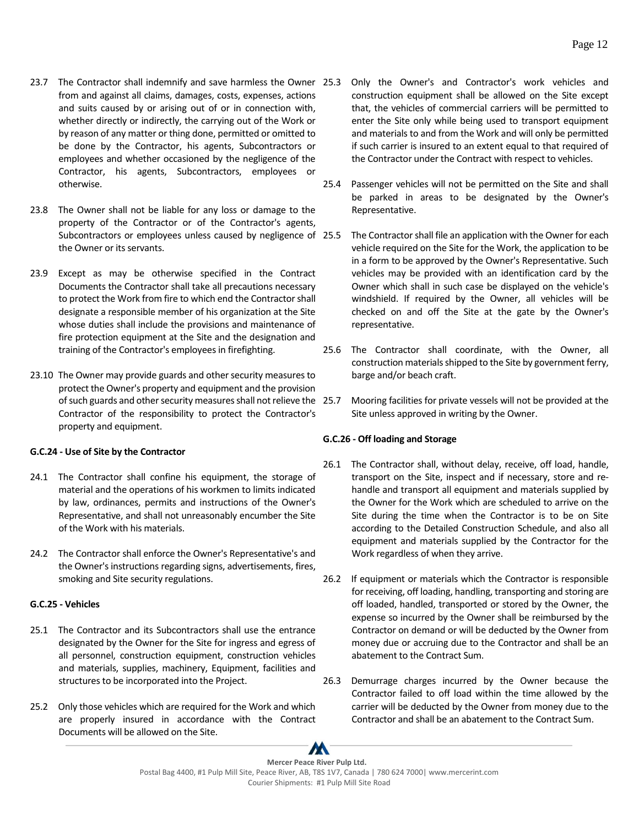- 23.7 The Contractor shall indemnify and save harmless the Owner 25.3 from and against all claims, damages, costs, expenses, actions and suits caused by or arising out of or in connection with, whether directly or indirectly, the carrying out of the Work or by reason of any matter or thing done, permitted or omitted to be done by the Contractor, his agents, Subcontractors or employees and whether occasioned by the negligence of the Contractor, his agents, Subcontractors, employees or otherwise.
- 23.8 The Owner shall not be liable for any loss or damage to the property of the Contractor or of the Contractor's agents, Subcontractors or employees unless caused by negligence of 25.5 the Owner or its servants.
- 23.9 Except as may be otherwise specified in the Contract Documents the Contractor shall take all precautions necessary to protect the Work from fire to which end the Contractor shall designate a responsible member of his organization at the Site whose duties shall include the provisions and maintenance of fire protection equipment at the Site and the designation and training of the Contractor's employees in firefighting.
- 23.10 The Owner may provide guards and other security measures to protect the Owner's property and equipment and the provision of such guards and other security measures shall not relieve the Contractor of the responsibility to protect the Contractor's property and equipment.

### <span id="page-16-0"></span>**G.C.24 - Use of Site by the Contractor**

- 24.1 The Contractor shall confine his equipment, the storage of material and the operations of his workmen to limits indicated by law, ordinances, permits and instructions of the Owner's Representative, and shall not unreasonably encumber the Site of the Work with his materials.
- 24.2 The Contractor shall enforce the Owner's Representative's and the Owner's instructions regarding signs, advertisements, fires, smoking and Site security regulations.

### <span id="page-16-1"></span>**G.C.25 - Vehicles**

- 25.1 The Contractor and its Subcontractors shall use the entrance designated by the Owner for the Site for ingress and egress of all personnel, construction equipment, construction vehicles and materials, supplies, machinery, Equipment, facilities and structures to be incorporated into the Project.
- 25.2 Only those vehicles which are required for the Work and which are properly insured in accordance with the Contract Documents will be allowed on the Site.
- 25.3 Only the Owner's and Contractor's work vehicles and construction equipment shall be allowed on the Site except that, the vehicles of commercial carriers will be permitted to enter the Site only while being used to transport equipment and materials to and from the Work and will only be permitted if such carrier is insured to an extent equal to that required of the Contractor under the Contract with respect to vehicles.
- 25.4 Passenger vehicles will not be permitted on the Site and shall be parked in areas to be designated by the Owner's Representative.
- The Contractor shall file an application with the Owner for each vehicle required on the Site for the Work, the application to be in a form to be approved by the Owner's Representative. Such vehicles may be provided with an identification card by the Owner which shall in such case be displayed on the vehicle's windshield. If required by the Owner, all vehicles will be checked on and off the Site at the gate by the Owner's representative.
- 25.6 The Contractor shall coordinate, with the Owner, all construction materials shipped to the Site by government ferry, barge and/or beach craft.
- 25.7 Mooring facilities for private vessels will not be provided at the Site unless approved in writing by the Owner.

### <span id="page-16-2"></span>**G.C.26 - Off loading and Storage**

- 26.1 The Contractor shall, without delay, receive, off load, handle, transport on the Site, inspect and if necessary, store and rehandle and transport all equipment and materials supplied by the Owner for the Work which are scheduled to arrive on the Site during the time when the Contractor is to be on Site according to the Detailed Construction Schedule, and also all equipment and materials supplied by the Contractor for the Work regardless of when they arrive.
- 26.2 If equipment or materials which the Contractor is responsible for receiving, off loading, handling, transporting and storing are off loaded, handled, transported or stored by the Owner, the expense so incurred by the Owner shall be reimbursed by the Contractor on demand or will be deducted by the Owner from money due or accruing due to the Contractor and shall be an abatement to the Contract Sum.
- 26.3 Demurrage charges incurred by the Owner because the Contractor failed to off load within the time allowed by the carrier will be deducted by the Owner from money due to the Contractor and shall be an abatement to the Contract Sum.

 $\boldsymbol{M}$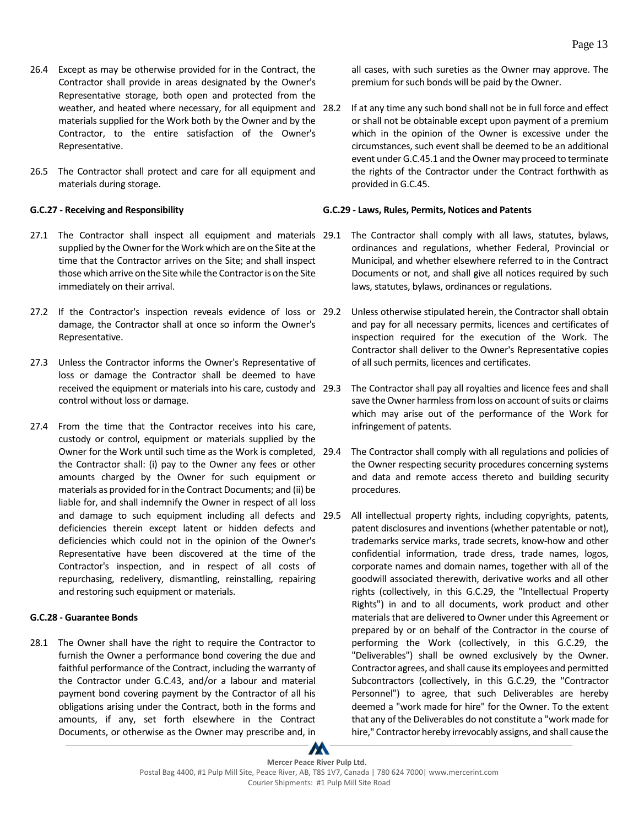- 26.4 Except as may be otherwise provided for in the Contract, the Contractor shall provide in areas designated by the Owner's Representative storage, both open and protected from the weather, and heated where necessary, for all equipment and 28.2 materials supplied for the Work both by the Owner and by the Contractor, to the entire satisfaction of the Owner's Representative.
- 26.5 The Contractor shall protect and care for all equipment and materials during storage.

#### <span id="page-17-0"></span>**G.C.27 - Receiving and Responsibility**

- 27.1 The Contractor shall inspect all equipment and materials 29.1 supplied by the Owner for the Work which are on the Site at the time that the Contractor arrives on the Site; and shall inspect those which arrive on the Site while the Contractor is on the Site immediately on their arrival.
- 27.2 If the Contractor's inspection reveals evidence of loss or 29.2 damage, the Contractor shall at once so inform the Owner's Representative.
- 27.3 Unless the Contractor informs the Owner's Representative of loss or damage the Contractor shall be deemed to have received the equipment or materials into his care, custody and control without loss or damage.
- 27.4 From the time that the Contractor receives into his care, custody or control, equipment or materials supplied by the Owner for the Work until such time as the Work is completed, the Contractor shall: (i) pay to the Owner any fees or other amounts charged by the Owner for such equipment or materials as provided for in the Contract Documents; and (ii) be liable for, and shall indemnify the Owner in respect of all loss and damage to such equipment including all defects and deficiencies therein except latent or hidden defects and deficiencies which could not in the opinion of the Owner's Representative have been discovered at the time of the Contractor's inspection, and in respect of all costs of repurchasing, redelivery, dismantling, reinstalling, repairing and restoring such equipment or materials.

### <span id="page-17-1"></span>**G.C.28 - Guarantee Bonds**

28.1 The Owner shall have the right to require the Contractor to furnish the Owner a performance bond covering the due and faithful performance of the Contract, including the warranty of the Contractor under G.C.43, and/or a labour and material payment bond covering payment by the Contractor of all his obligations arising under the Contract, both in the forms and amounts, if any, set forth elsewhere in the Contract Documents, or otherwise as the Owner may prescribe and, in

all cases, with such sureties as the Owner may approve. The premium for such bonds will be paid by the Owner.

If at any time any such bond shall not be in full force and effect or shall not be obtainable except upon payment of a premium which in the opinion of the Owner is excessive under the circumstances, such event shall be deemed to be an additional event under G.C.45.1 and the Owner may proceed to terminate the rights of the Contractor under the Contract forthwith as provided in G.C.45.

### <span id="page-17-2"></span>**G.C.29 - Laws, Rules, Permits, Notices and Patents**

- The Contractor shall comply with all laws, statutes, bylaws, ordinances and regulations, whether Federal, Provincial or Municipal, and whether elsewhere referred to in the Contract Documents or not, and shall give all notices required by such laws, statutes, bylaws, ordinances or regulations.
- Unless otherwise stipulated herein, the Contractor shall obtain and pay for all necessary permits, licences and certificates of inspection required for the execution of the Work. The Contractor shall deliver to the Owner's Representative copies of all such permits, licences and certificates.
- The Contractor shall pay all royalties and licence fees and shall save the Owner harmless from loss on account of suits or claims which may arise out of the performance of the Work for infringement of patents.
- The Contractor shall comply with all regulations and policies of the Owner respecting security procedures concerning systems and data and remote access thereto and building security procedures.
- All intellectual property rights, including copyrights, patents, patent disclosures and inventions (whether patentable or not), trademarks service marks, trade secrets, know-how and other confidential information, trade dress, trade names, logos, corporate names and domain names, together with all of the goodwill associated therewith, derivative works and all other rights (collectively, in this G.C.29, the "Intellectual Property Rights") in and to all documents, work product and other materials that are delivered to Owner under this Agreement or prepared by or on behalf of the Contractor in the course of performing the Work (collectively, in this G.C.29, the "Deliverables") shall be owned exclusively by the Owner. Contractor agrees, and shall cause its employees and permitted Subcontractors (collectively, in this G.C.29, the "Contractor Personnel") to agree, that such Deliverables are hereby deemed a "work made for hire" for the Owner. To the extent that any of the Deliverables do not constitute a "work made for hire," Contractor hereby irrevocably assigns, and shall cause the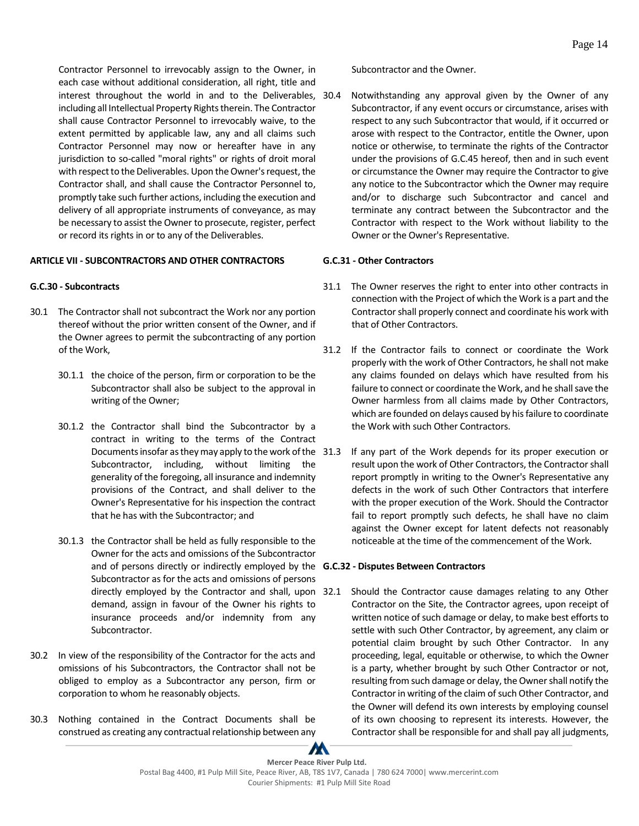Contractor Personnel to irrevocably assign to the Owner, in each case without additional consideration, all right, title and interest throughout the world in and to the Deliverables, 30.4 including all Intellectual Property Rights therein. The Contractor shall cause Contractor Personnel to irrevocably waive, to the extent permitted by applicable law, any and all claims such Contractor Personnel may now or hereafter have in any jurisdiction to so-called "moral rights" or rights of droit moral with respect to the Deliverables. Upon the Owner's request, the Contractor shall, and shall cause the Contractor Personnel to, promptly take such further actions, including the execution and delivery of all appropriate instruments of conveyance, as may be necessary to assist the Owner to prosecute, register, perfect or record its rights in or to any of the Deliverables.

#### <span id="page-18-0"></span>**ARTICLE VII - SUBCONTRACTORS AND OTHER CONTRACTORS**

#### <span id="page-18-1"></span>**G.C.30 - Subcontracts**

- 30.1 The Contractor shall not subcontract the Work nor any portion thereof without the prior written consent of the Owner, and if the Owner agrees to permit the subcontracting of any portion of the Work,
	- 30.1.1 the choice of the person, firm or corporation to be the Subcontractor shall also be subject to the approval in writing of the Owner;
	- 30.1.2 the Contractor shall bind the Subcontractor by a contract in writing to the terms of the Contract Documents insofar as they may apply to the work of the Subcontractor, including, without limiting the generality of the foregoing, all insurance and indemnity provisions of the Contract, and shall deliver to the Owner's Representative for his inspection the contract that he has with the Subcontractor; and
	- 30.1.3 the Contractor shall be held as fully responsible to the Owner for the acts and omissions of the Subcontractor and of persons directly or indirectly employed by the **G.C.32 - Disputes Between Contractors** Subcontractor as for the acts and omissions of persons directly employed by the Contractor and shall, upon 32.1 demand, assign in favour of the Owner his rights to insurance proceeds and/or indemnity from any Subcontractor.
- 30.2 In view of the responsibility of the Contractor for the acts and omissions of his Subcontractors, the Contractor shall not be obliged to employ as a Subcontractor any person, firm or corporation to whom he reasonably objects.
- 30.3 Nothing contained in the Contract Documents shall be construed as creating any contractual relationship between any

Subcontractor and the Owner.

Notwithstanding any approval given by the Owner of any Subcontractor, if any event occurs or circumstance, arises with respect to any such Subcontractor that would, if it occurred or arose with respect to the Contractor, entitle the Owner, upon notice or otherwise, to terminate the rights of the Contractor under the provisions of G.C.45 hereof, then and in such event or circumstance the Owner may require the Contractor to give any notice to the Subcontractor which the Owner may require and/or to discharge such Subcontractor and cancel and terminate any contract between the Subcontractor and the Contractor with respect to the Work without liability to the Owner or the Owner's Representative.

#### <span id="page-18-2"></span>**G.C.31 - Other Contractors**

- 31.1 The Owner reserves the right to enter into other contracts in connection with the Project of which the Work is a part and the Contractor shall properly connect and coordinate his work with that of Other Contractors.
- 31.2 If the Contractor fails to connect or coordinate the Work properly with the work of Other Contractors, he shall not make any claims founded on delays which have resulted from his failure to connect or coordinate the Work, and he shall save the Owner harmless from all claims made by Other Contractors, which are founded on delays caused by his failure to coordinate the Work with such Other Contractors.
- If any part of the Work depends for its proper execution or result upon the work of Other Contractors, the Contractor shall report promptly in writing to the Owner's Representative any defects in the work of such Other Contractors that interfere with the proper execution of the Work. Should the Contractor fail to report promptly such defects, he shall have no claim against the Owner except for latent defects not reasonably noticeable at the time of the commencement of the Work.

<span id="page-18-3"></span>Should the Contractor cause damages relating to any Other Contractor on the Site, the Contractor agrees, upon receipt of written notice of such damage or delay, to make best efforts to settle with such Other Contractor, by agreement, any claim or potential claim brought by such Other Contractor. In any proceeding, legal, equitable or otherwise, to which the Owner is a party, whether brought by such Other Contractor or not, resulting from such damage or delay, the Owner shall notify the Contractor in writing of the claim of such Other Contractor, and the Owner will defend its own interests by employing counsel of its own choosing to represent its interests. However, the Contractor shall be responsible for and shall pay all judgments,

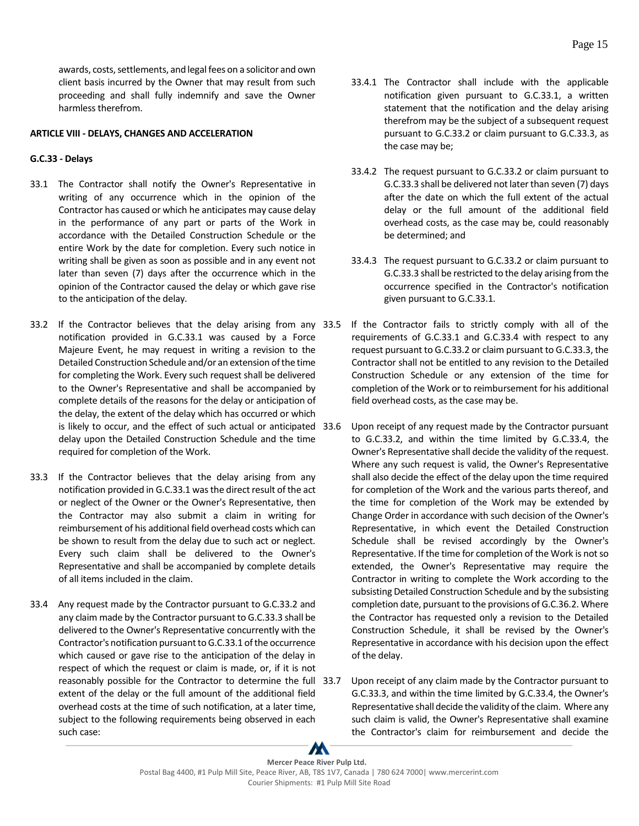awards, costs, settlements, and legal fees on a solicitor and own client basis incurred by the Owner that may result from such proceeding and shall fully indemnify and save the Owner harmless therefrom.

### <span id="page-19-0"></span>**ARTICLE VIII - DELAYS, CHANGES AND ACCELERATION**

### <span id="page-19-1"></span>**G.C.33 - Delays**

- 33.1 The Contractor shall notify the Owner's Representative in writing of any occurrence which in the opinion of the Contractor has caused or which he anticipates may cause delay in the performance of any part or parts of the Work in accordance with the Detailed Construction Schedule or the entire Work by the date for completion. Every such notice in writing shall be given as soon as possible and in any event not later than seven (7) days after the occurrence which in the opinion of the Contractor caused the delay or which gave rise to the anticipation of the delay.
- 33.2 If the Contractor believes that the delay arising from any 33.5 notification provided in G.C.33.1 was caused by a Force Majeure Event, he may request in writing a revision to the Detailed Construction Schedule and/or an extension of the time for completing the Work. Every such request shall be delivered to the Owner's Representative and shall be accompanied by complete details of the reasons for the delay or anticipation of the delay, the extent of the delay which has occurred or which is likely to occur, and the effect of such actual or anticipated delay upon the Detailed Construction Schedule and the time required for completion of the Work.
- 33.3 If the Contractor believes that the delay arising from any notification provided in G.C.33.1 was the direct result of the act or neglect of the Owner or the Owner's Representative, then the Contractor may also submit a claim in writing for reimbursement of his additional field overhead costs which can be shown to result from the delay due to such act or neglect. Every such claim shall be delivered to the Owner's Representative and shall be accompanied by complete details of all items included in the claim.
- 33.4 Any request made by the Contractor pursuant to G.C.33.2 and any claim made by the Contractor pursuant to G.C.33.3 shall be delivered to the Owner's Representative concurrently with the Contractor's notification pursuant to G.C.33.1 of the occurrence which caused or gave rise to the anticipation of the delay in respect of which the request or claim is made, or, if it is not reasonably possible for the Contractor to determine the full 33.7 extent of the delay or the full amount of the additional field overhead costs at the time of such notification, at a later time, subject to the following requirements being observed in each such case:
- 33.4.1 The Contractor shall include with the applicable notification given pursuant to G.C.33.1, a written statement that the notification and the delay arising therefrom may be the subject of a subsequent request pursuant to G.C.33.2 or claim pursuant to G.C.33.3, as the case may be;
- 33.4.2 The request pursuant to G.C.33.2 or claim pursuant to G.C.33.3 shall be delivered not later than seven (7) days after the date on which the full extent of the actual delay or the full amount of the additional field overhead costs, as the case may be, could reasonably be determined; and
- 33.4.3 The request pursuant to G.C.33.2 or claim pursuant to G.C.33.3 shall be restricted to the delay arising from the occurrence specified in the Contractor's notification given pursuant to G.C.33.1.
- If the Contractor fails to strictly comply with all of the requirements of G.C.33.1 and G.C.33.4 with respect to any request pursuant to G.C.33.2 or claim pursuant to G.C.33.3, the Contractor shall not be entitled to any revision to the Detailed Construction Schedule or any extension of the time for completion of the Work or to reimbursement for his additional field overhead costs, as the case may be.
- Upon receipt of any request made by the Contractor pursuant to G.C.33.2, and within the time limited by G.C.33.4, the Owner's Representative shall decide the validity of the request. Where any such request is valid, the Owner's Representative shall also decide the effect of the delay upon the time required for completion of the Work and the various parts thereof, and the time for completion of the Work may be extended by Change Order in accordance with such decision of the Owner's Representative, in which event the Detailed Construction Schedule shall be revised accordingly by the Owner's Representative. If the time for completion of the Work is not so extended, the Owner's Representative may require the Contractor in writing to complete the Work according to the subsisting Detailed Construction Schedule and by the subsisting completion date, pursuant to the provisions of G.C.36.2. Where the Contractor has requested only a revision to the Detailed Construction Schedule, it shall be revised by the Owner's Representative in accordance with his decision upon the effect of the delay.
- Upon receipt of any claim made by the Contractor pursuant to G.C.33.3, and within the time limited by G.C.33.4, the Owner's Representative shall decide the validity of the claim. Where any such claim is valid, the Owner's Representative shall examine the Contractor's claim for reimbursement and decide the

 $\boldsymbol{M}$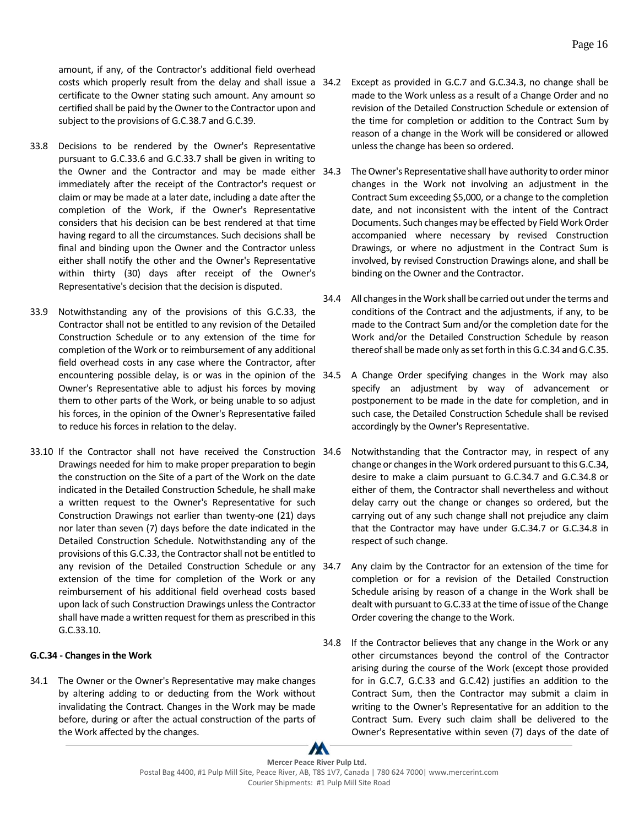amount, if any, of the Contractor's additional field overhead costs which properly result from the delay and shall issue a 34.2 certificate to the Owner stating such amount. Any amount so certified shall be paid by the Owner to the Contractor upon and subject to the provisions of G.C.38.7 and G.C.39.

- 33.8 Decisions to be rendered by the Owner's Representative pursuant to G.C.33.6 and G.C.33.7 shall be given in writing to the Owner and the Contractor and may be made either 34.3 immediately after the receipt of the Contractor's request or claim or may be made at a later date, including a date after the completion of the Work, if the Owner's Representative considers that his decision can be best rendered at that time having regard to all the circumstances. Such decisions shall be final and binding upon the Owner and the Contractor unless either shall notify the other and the Owner's Representative within thirty (30) days after receipt of the Owner's Representative's decision that the decision is disputed.
- 33.9 Notwithstanding any of the provisions of this G.C.33, the Contractor shall not be entitled to any revision of the Detailed Construction Schedule or to any extension of the time for completion of the Work or to reimbursement of any additional field overhead costs in any case where the Contractor, after encountering possible delay, is or was in the opinion of the 34.5 Owner's Representative able to adjust his forces by moving them to other parts of the Work, or being unable to so adjust his forces, in the opinion of the Owner's Representative failed to reduce his forces in relation to the delay.
- 33.10 If the Contractor shall not have received the Construction Drawings needed for him to make proper preparation to begin the construction on the Site of a part of the Work on the date indicated in the Detailed Construction Schedule, he shall make a written request to the Owner's Representative for such Construction Drawings not earlier than twenty-one (21) days nor later than seven (7) days before the date indicated in the Detailed Construction Schedule. Notwithstanding any of the provisions of this G.C.33, the Contractor shall not be entitled to any revision of the Detailed Construction Schedule or any 34.7 extension of the time for completion of the Work or any reimbursement of his additional field overhead costs based upon lack of such Construction Drawings unless the Contractor shall have made a written request for them as prescribed in this G.C.33.10.

### <span id="page-20-0"></span>**G.C.34 - Changes in the Work**

34.1 The Owner or the Owner's Representative may make changes by altering adding to or deducting from the Work without invalidating the Contract. Changes in the Work may be made before, during or after the actual construction of the parts of the Work affected by the changes.

- Except as provided in G.C.7 and G.C.34.3, no change shall be made to the Work unless as a result of a Change Order and no revision of the Detailed Construction Schedule or extension of the time for completion or addition to the Contract Sum by reason of a change in the Work will be considered or allowed unless the change has been so ordered.
- The Owner's Representative shall have authority to order minor changes in the Work not involving an adjustment in the Contract Sum exceeding \$5,000, or a change to the completion date, and not inconsistent with the intent of the Contract Documents. Such changes may be effected by Field Work Order accompanied where necessary by revised Construction Drawings, or where no adjustment in the Contract Sum is involved, by revised Construction Drawings alone, and shall be binding on the Owner and the Contractor.
- 34.4 All changes in the Work shall be carried out under the terms and conditions of the Contract and the adjustments, if any, to be made to the Contract Sum and/or the completion date for the Work and/or the Detailed Construction Schedule by reason thereof shall be made only as set forth in this G.C.34 and G.C.35.
	- A Change Order specifying changes in the Work may also specify an adjustment by way of advancement or postponement to be made in the date for completion, and in such case, the Detailed Construction Schedule shall be revised accordingly by the Owner's Representative.
- Notwithstanding that the Contractor may, in respect of any change or changes in the Work ordered pursuant to this G.C.34, desire to make a claim pursuant to G.C.34.7 and G.C.34.8 or either of them, the Contractor shall nevertheless and without delay carry out the change or changes so ordered, but the carrying out of any such change shall not prejudice any claim that the Contractor may have under G.C.34.7 or G.C.34.8 in respect of such change.
- Any claim by the Contractor for an extension of the time for completion or for a revision of the Detailed Construction Schedule arising by reason of a change in the Work shall be dealt with pursuant to G.C.33 at the time of issue of the Change Order covering the change to the Work.
- 34.8 If the Contractor believes that any change in the Work or any other circumstances beyond the control of the Contractor arising during the course of the Work (except those provided for in G.C.7, G.C.33 and G.C.42) justifies an addition to the Contract Sum, then the Contractor may submit a claim in writing to the Owner's Representative for an addition to the Contract Sum. Every such claim shall be delivered to the Owner's Representative within seven (7) days of the date of

 $\boldsymbol{M}$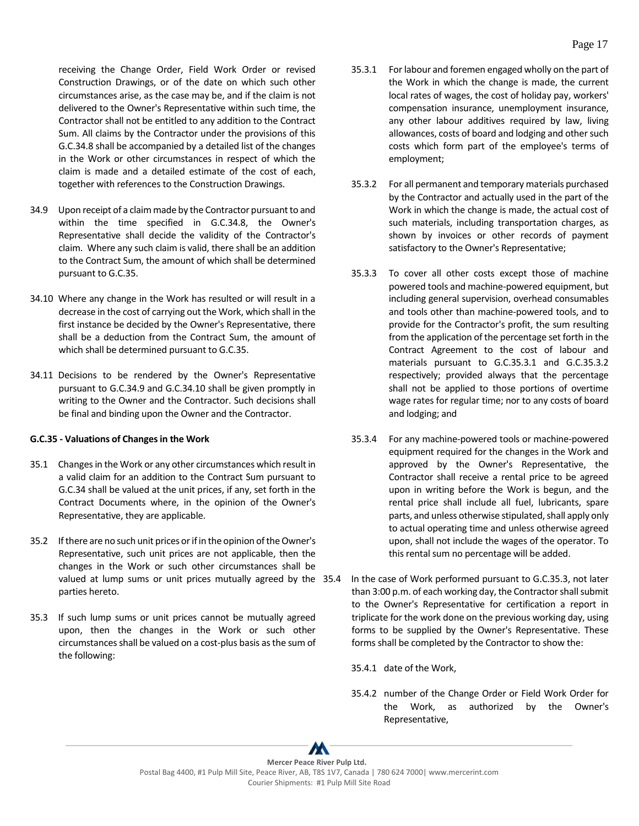receiving the Change Order, Field Work Order or revised Construction Drawings, or of the date on which such other circumstances arise, as the case may be, and if the claim is not delivered to the Owner's Representative within such time, the Contractor shall not be entitled to any addition to the Contract Sum. All claims by the Contractor under the provisions of this G.C.34.8 shall be accompanied by a detailed list of the changes in the Work or other circumstances in respect of which the claim is made and a detailed estimate of the cost of each, together with references to the Construction Drawings.

- 34.9 Upon receipt of a claim made by the Contractor pursuant to and within the time specified in G.C.34.8, the Owner's Representative shall decide the validity of the Contractor's claim. Where any such claim is valid, there shall be an addition to the Contract Sum, the amount of which shall be determined pursuant to G.C.35.
- 34.10 Where any change in the Work has resulted or will result in a decrease in the cost of carrying out the Work, which shall in the first instance be decided by the Owner's Representative, there shall be a deduction from the Contract Sum, the amount of which shall be determined pursuant to G.C.35.
- 34.11 Decisions to be rendered by the Owner's Representative pursuant to G.C.34.9 and G.C.34.10 shall be given promptly in writing to the Owner and the Contractor. Such decisions shall be final and binding upon the Owner and the Contractor.

### <span id="page-21-0"></span>**G.C.35 - Valuations of Changes in the Work**

- 35.1 Changes in the Work or any other circumstances which result in a valid claim for an addition to the Contract Sum pursuant to G.C.34 shall be valued at the unit prices, if any, set forth in the Contract Documents where, in the opinion of the Owner's Representative, they are applicable.
- 35.2 If there are no such unit prices or if in the opinion of the Owner's Representative, such unit prices are not applicable, then the changes in the Work or such other circumstances shall be valued at lump sums or unit prices mutually agreed by the 35.4 parties hereto.
- 35.3 If such lump sums or unit prices cannot be mutually agreed upon, then the changes in the Work or such other circumstances shall be valued on a cost-plus basis as the sum of the following:
- 35.3.1 For labour and foremen engaged wholly on the part of the Work in which the change is made, the current local rates of wages, the cost of holiday pay, workers' compensation insurance, unemployment insurance, any other labour additives required by law, living allowances, costs of board and lodging and other such costs which form part of the employee's terms of employment;
- 35.3.2 For all permanent and temporary materials purchased by the Contractor and actually used in the part of the Work in which the change is made, the actual cost of such materials, including transportation charges, as shown by invoices or other records of payment satisfactory to the Owner's Representative;
- 35.3.3 To cover all other costs except those of machine powered tools and machine-powered equipment, but including general supervision, overhead consumables and tools other than machine-powered tools, and to provide for the Contractor's profit, the sum resulting from the application of the percentage set forth in the Contract Agreement to the cost of labour and materials pursuant to G.C.35.3.1 and G.C.35.3.2 respectively; provided always that the percentage shall not be applied to those portions of overtime wage rates for regular time; nor to any costs of board and lodging; and
- 35.3.4 For any machine-powered tools or machine-powered equipment required for the changes in the Work and approved by the Owner's Representative, the Contractor shall receive a rental price to be agreed upon in writing before the Work is begun, and the rental price shall include all fuel, lubricants, spare parts, and unless otherwise stipulated, shall apply only to actual operating time and unless otherwise agreed upon, shall not include the wages of the operator. To this rental sum no percentage will be added.
- In the case of Work performed pursuant to G.C.35.3, not later than 3:00 p.m. of each working day, the Contractor shall submit to the Owner's Representative for certification a report in triplicate for the work done on the previous working day, using forms to be supplied by the Owner's Representative. These forms shall be completed by the Contractor to show the:
	- 35.4.1 date of the Work,
	- 35.4.2 number of the Change Order or Field Work Order for the Work, as authorized by the Owner's Representative,

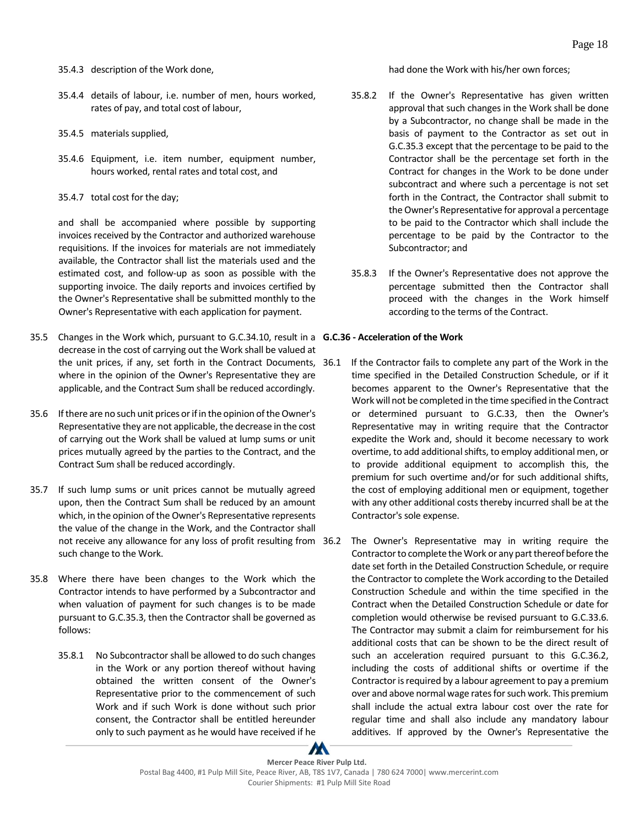- 35.4.3 description of the Work done,
- 35.4.4 details of labour, i.e. number of men, hours worked, rates of pay, and total cost of labour,
- 35.4.5 materials supplied,
- 35.4.6 Equipment, i.e. item number, equipment number, hours worked, rental rates and total cost, and
- 35.4.7 total cost for the day;

and shall be accompanied where possible by supporting invoices received by the Contractor and authorized warehouse requisitions. If the invoices for materials are not immediately available, the Contractor shall list the materials used and the estimated cost, and follow-up as soon as possible with the supporting invoice. The daily reports and invoices certified by the Owner's Representative shall be submitted monthly to the Owner's Representative with each application for payment.

- 35.5 Changes in the Work which, pursuant to G.C.34.10, result in a **G.C.36 - Acceleration of the Work** decrease in the cost of carrying out the Work shall be valued at the unit prices, if any, set forth in the Contract Documents, 36.1 where in the opinion of the Owner's Representative they are applicable, and the Contract Sum shall be reduced accordingly.
- 35.6 If there are no such unit prices or if in the opinion of the Owner's Representative they are not applicable, the decrease in the cost of carrying out the Work shall be valued at lump sums or unit prices mutually agreed by the parties to the Contract, and the Contract Sum shall be reduced accordingly.
- 35.7 If such lump sums or unit prices cannot be mutually agreed upon, then the Contract Sum shall be reduced by an amount which, in the opinion of the Owner's Representative represents the value of the change in the Work, and the Contractor shall not receive any allowance for any loss of profit resulting from 36.2 such change to the Work.
- 35.8 Where there have been changes to the Work which the Contractor intends to have performed by a Subcontractor and when valuation of payment for such changes is to be made pursuant to G.C.35.3, then the Contractor shall be governed as follows:
	- 35.8.1 No Subcontractorshall be allowed to do such changes in the Work or any portion thereof without having obtained the written consent of the Owner's Representative prior to the commencement of such Work and if such Work is done without such prior consent, the Contractor shall be entitled hereunder only to such payment as he would have received if he

### had done the Work with his/her own forces;

- 35.8.2 If the Owner's Representative has given written approval that such changes in the Work shall be done by a Subcontractor, no change shall be made in the basis of payment to the Contractor as set out in G.C.35.3 except that the percentage to be paid to the Contractor shall be the percentage set forth in the Contract for changes in the Work to be done under subcontract and where such a percentage is not set forth in the Contract, the Contractor shall submit to the Owner's Representative for approval a percentage to be paid to the Contractor which shall include the percentage to be paid by the Contractor to the Subcontractor; and
- 35.8.3 If the Owner's Representative does not approve the percentage submitted then the Contractor shall proceed with the changes in the Work himself according to the terms of the Contract.

- <span id="page-22-0"></span>If the Contractor fails to complete any part of the Work in the time specified in the Detailed Construction Schedule, or if it becomes apparent to the Owner's Representative that the Work will not be completed in the time specified in the Contract or determined pursuant to G.C.33, then the Owner's Representative may in writing require that the Contractor expedite the Work and, should it become necessary to work overtime, to add additional shifts, to employ additional men, or to provide additional equipment to accomplish this, the premium for such overtime and/or for such additional shifts, the cost of employing additional men or equipment, together with any other additional costs thereby incurred shall be at the Contractor's sole expense.
- The Owner's Representative may in writing require the Contractor to complete the Work or any part thereof before the date set forth in the Detailed Construction Schedule, or require the Contractor to complete the Work according to the Detailed Construction Schedule and within the time specified in the Contract when the Detailed Construction Schedule or date for completion would otherwise be revised pursuant to G.C.33.6. The Contractor may submit a claim for reimbursement for his additional costs that can be shown to be the direct result of such an acceleration required pursuant to this G.C.36.2, including the costs of additional shifts or overtime if the Contractor is required by a labour agreement to pay a premium over and above normal wage rates for such work. This premium shall include the actual extra labour cost over the rate for regular time and shall also include any mandatory labour additives. If approved by the Owner's Representative the

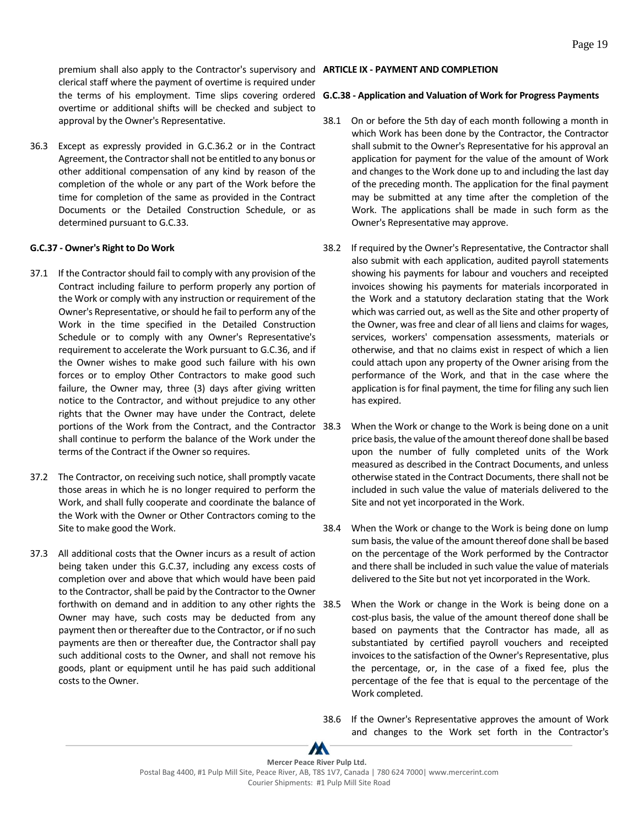premium shall also apply to the Contractor's supervisory and **ARTICLE IX - PAYMENT AND COMPLETION** clerical staff where the payment of overtime is required under overtime or additional shifts will be checked and subject to approval by the Owner's Representative.

36.3 Except as expressly provided in G.C.36.2 or in the Contract Agreement, the Contractor shall not be entitled to any bonus or other additional compensation of any kind by reason of the completion of the whole or any part of the Work before the time for completion of the same as provided in the Contract Documents or the Detailed Construction Schedule, or as determined pursuant to G.C.33.

#### <span id="page-23-0"></span>**G.C.37 - Owner's Right to Do Work**

- 37.1 If the Contractor should fail to comply with any provision of the Contract including failure to perform properly any portion of the Work or comply with any instruction or requirement of the Owner's Representative, or should he fail to perform any of the Work in the time specified in the Detailed Construction Schedule or to comply with any Owner's Representative's requirement to accelerate the Work pursuant to G.C.36, and if the Owner wishes to make good such failure with his own forces or to employ Other Contractors to make good such failure, the Owner may, three (3) days after giving written notice to the Contractor, and without prejudice to any other rights that the Owner may have under the Contract, delete portions of the Work from the Contract, and the Contractor shall continue to perform the balance of the Work under the terms of the Contract if the Owner so requires.
- 37.2 The Contractor, on receiving such notice, shall promptly vacate those areas in which he is no longer required to perform the Work, and shall fully cooperate and coordinate the balance of the Work with the Owner or Other Contractors coming to the Site to make good the Work.
- 37.3 All additional costs that the Owner incurs as a result of action being taken under this G.C.37, including any excess costs of completion over and above that which would have been paid to the Contractor, shall be paid by the Contractor to the Owner forthwith on demand and in addition to any other rights the Owner may have, such costs may be deducted from any payment then or thereafter due to the Contractor, or if no such payments are then or thereafter due, the Contractor shall pay such additional costs to the Owner, and shall not remove his goods, plant or equipment until he has paid such additional costs to the Owner.

#### the terms of his employment. Time slips covering ordered **G.C.38 - Application and Valuation of Work for Progress Payments**

- <span id="page-23-2"></span><span id="page-23-1"></span>38.1 On or before the 5th day of each month following a month in which Work has been done by the Contractor, the Contractor shall submit to the Owner's Representative for his approval an application for payment for the value of the amount of Work and changes to the Work done up to and including the last day of the preceding month. The application for the final payment may be submitted at any time after the completion of the Work. The applications shall be made in such form as the Owner's Representative may approve.
- 38.2 If required by the Owner's Representative, the Contractor shall also submit with each application, audited payroll statements showing his payments for labour and vouchers and receipted invoices showing his payments for materials incorporated in the Work and a statutory declaration stating that the Work which was carried out, as well as the Site and other property of the Owner, was free and clear of all liens and claims for wages, services, workers' compensation assessments, materials or otherwise, and that no claims exist in respect of which a lien could attach upon any property of the Owner arising from the performance of the Work, and that in the case where the application is for final payment, the time for filing any such lien has expired.
- When the Work or change to the Work is being done on a unit price basis, the value of the amount thereof done shall be based upon the number of fully completed units of the Work measured as described in the Contract Documents, and unless otherwise stated in the Contract Documents, there shall not be included in such value the value of materials delivered to the Site and not yet incorporated in the Work.
- 38.4 When the Work or change to the Work is being done on lump sum basis, the value of the amount thereof done shall be based on the percentage of the Work performed by the Contractor and there shall be included in such value the value of materials delivered to the Site but not yet incorporated in the Work.
- When the Work or change in the Work is being done on a cost-plus basis, the value of the amount thereof done shall be based on payments that the Contractor has made, all as substantiated by certified payroll vouchers and receipted invoices to the satisfaction of the Owner's Representative, plus the percentage, or, in the case of a fixed fee, plus the percentage of the fee that is equal to the percentage of the Work completed.
- 38.6 If the Owner's Representative approves the amount of Work and changes to the Work set forth in the Contractor's

m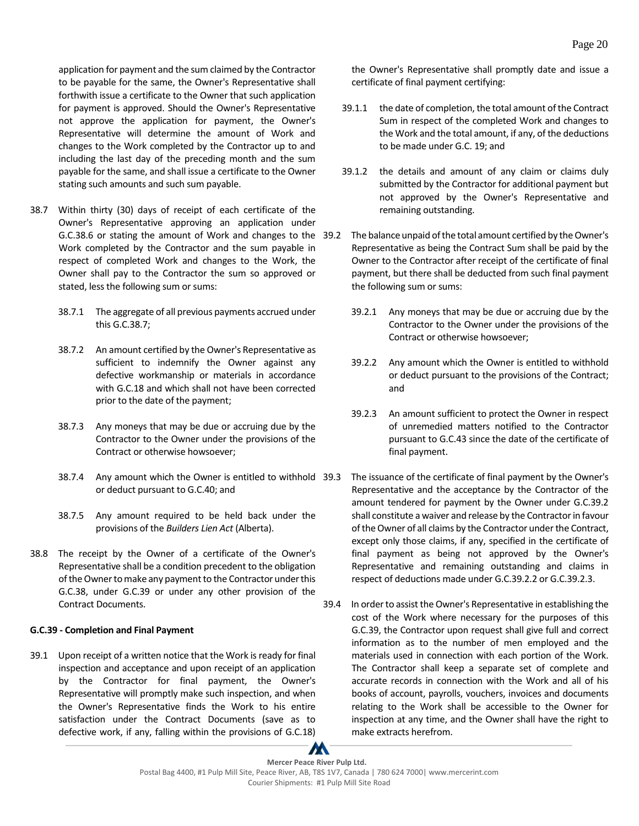application for payment and the sum claimed by the Contractor to be payable for the same, the Owner's Representative shall forthwith issue a certificate to the Owner that such application for payment is approved. Should the Owner's Representative not approve the application for payment, the Owner's Representative will determine the amount of Work and changes to the Work completed by the Contractor up to and including the last day of the preceding month and the sum payable for the same, and shall issue a certificate to the Owner stating such amounts and such sum payable.

- 38.7 Within thirty (30) days of receipt of each certificate of the Owner's Representative approving an application under G.C.38.6 or stating the amount of Work and changes to the Work completed by the Contractor and the sum payable in respect of completed Work and changes to the Work, the Owner shall pay to the Contractor the sum so approved or stated, less the following sum or sums:
	- 38.7.1 The aggregate of all previous payments accrued under this G.C.38.7;
	- 38.7.2 An amount certified by the Owner's Representative as sufficient to indemnify the Owner against any defective workmanship or materials in accordance with G.C.18 and which shall not have been corrected prior to the date of the payment;
	- 38.7.3 Any moneys that may be due or accruing due by the Contractor to the Owner under the provisions of the Contract or otherwise howsoever;
	- 38.7.4 Any amount which the Owner is entitled to withhold or deduct pursuant to G.C.40; and
	- 38.7.5 Any amount required to be held back under the provisions of the *Builders Lien Act* (Alberta).
- 38.8 The receipt by the Owner of a certificate of the Owner's Representative shall be a condition precedent to the obligation of the Owner to make any payment to the Contractor under this G.C.38, under G.C.39 or under any other provision of the Contract Documents.

### <span id="page-24-0"></span>**G.C.39 - Completion and Final Payment**

39.1 Upon receipt of a written notice that the Work is ready for final inspection and acceptance and upon receipt of an application by the Contractor for final payment, the Owner's Representative will promptly make such inspection, and when the Owner's Representative finds the Work to his entire satisfaction under the Contract Documents (save as to defective work, if any, falling within the provisions of G.C.18)

the Owner's Representative shall promptly date and issue a certificate of final payment certifying:

- 39.1.1 the date of completion, the total amount of the Contract Sum in respect of the completed Work and changes to the Work and the total amount, if any, of the deductions to be made under G.C. 19; and
- 39.1.2 the details and amount of any claim or claims duly submitted by the Contractor for additional payment but not approved by the Owner's Representative and remaining outstanding.
- The balance unpaid of the total amount certified by the Owner's Representative as being the Contract Sum shall be paid by the Owner to the Contractor after receipt of the certificate of final payment, but there shall be deducted from such final payment the following sum or sums:
	- 39.2.1 Any moneys that may be due or accruing due by the Contractor to the Owner under the provisions of the Contract or otherwise howsoever;
	- 39.2.2 Any amount which the Owner is entitled to withhold or deduct pursuant to the provisions of the Contract; and
	- 39.2.3 An amount sufficient to protect the Owner in respect of unremedied matters notified to the Contractor pursuant to G.C.43 since the date of the certificate of final payment.
	- The issuance of the certificate of final payment by the Owner's Representative and the acceptance by the Contractor of the amount tendered for payment by the Owner under G.C.39.2 shall constitute a waiver and release by the Contractor in favour of the Owner of all claims by the Contractor under the Contract, except only those claims, if any, specified in the certificate of final payment as being not approved by the Owner's Representative and remaining outstanding and claims in respect of deductions made under G.C.39.2.2 or G.C.39.2.3.
- 39.4 In order to assist the Owner's Representative in establishing the cost of the Work where necessary for the purposes of this G.C.39, the Contractor upon request shall give full and correct information as to the number of men employed and the materials used in connection with each portion of the Work. The Contractor shall keep a separate set of complete and accurate records in connection with the Work and all of his books of account, payrolls, vouchers, invoices and documents relating to the Work shall be accessible to the Owner for inspection at any time, and the Owner shall have the right to make extracts herefrom.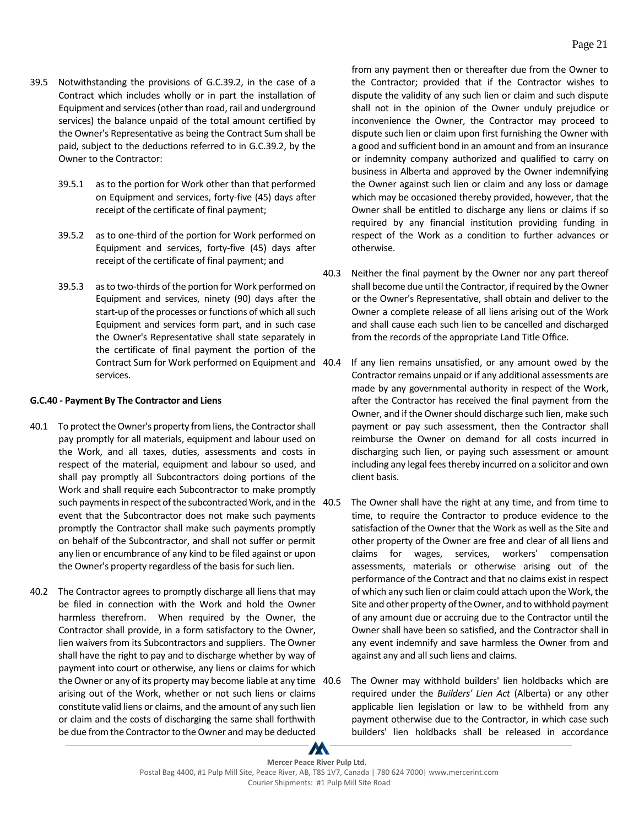- 39.5 Notwithstanding the provisions of G.C.39.2, in the case of a Contract which includes wholly or in part the installation of Equipment and services (other than road, rail and underground services) the balance unpaid of the total amount certified by the Owner's Representative as being the Contract Sum shall be paid, subject to the deductions referred to in G.C.39.2, by the Owner to the Contractor:
	- 39.5.1 as to the portion for Work other than that performed on Equipment and services, forty-five (45) days after receipt of the certificate of final payment;
	- 39.5.2 as to one-third of the portion for Work performed on Equipment and services, forty-five (45) days after receipt of the certificate of final payment; and
	- 39.5.3 as to two-thirds of the portion for Work performed on Equipment and services, ninety (90) days after the start-up of the processes or functions of which all such Equipment and services form part, and in such case the Owner's Representative shall state separately in the certificate of final payment the portion of the Contract Sum for Work performed on Equipment and services.

#### <span id="page-25-0"></span>**G.C.40 - Payment By The Contractor and Liens**

- 40.1 To protect the Owner's property from liens, the Contractor shall pay promptly for all materials, equipment and labour used on the Work, and all taxes, duties, assessments and costs in respect of the material, equipment and labour so used, and shall pay promptly all Subcontractors doing portions of the Work and shall require each Subcontractor to make promptly such payments in respect of the subcontracted Work, and in the event that the Subcontractor does not make such payments promptly the Contractor shall make such payments promptly on behalf of the Subcontractor, and shall not suffer or permit any lien or encumbrance of any kind to be filed against or upon the Owner's property regardless of the basis for such lien.
- 40.2 The Contractor agrees to promptly discharge all liens that may be filed in connection with the Work and hold the Owner harmless therefrom. When required by the Owner, the Contractor shall provide, in a form satisfactory to the Owner, lien waivers from its Subcontractors and suppliers. The Owner shall have the right to pay and to discharge whether by way of payment into court or otherwise, any liens or claims for which the Owner or any of its property may become liable at any time 40.6 arising out of the Work, whether or not such liens or claims constitute valid liens or claims, and the amount of any such lien or claim and the costs of discharging the same shall forthwith be due from the Contractor to the Owner and may be deducted

from any payment then or thereafter due from the Owner to the Contractor; provided that if the Contractor wishes to dispute the validity of any such lien or claim and such dispute shall not in the opinion of the Owner unduly prejudice or inconvenience the Owner, the Contractor may proceed to dispute such lien or claim upon first furnishing the Owner with a good and sufficient bond in an amount and from an insurance or indemnity company authorized and qualified to carry on business in Alberta and approved by the Owner indemnifying the Owner against such lien or claim and any loss or damage which may be occasioned thereby provided, however, that the Owner shall be entitled to discharge any liens or claims if so required by any financial institution providing funding in respect of the Work as a condition to further advances or otherwise.

- 40.3 Neither the final payment by the Owner nor any part thereof shall become due until the Contractor, if required by the Owner or the Owner's Representative, shall obtain and deliver to the Owner a complete release of all liens arising out of the Work and shall cause each such lien to be cancelled and discharged from the records of the appropriate Land Title Office.
- If any lien remains unsatisfied, or any amount owed by the Contractor remains unpaid or if any additional assessments are made by any governmental authority in respect of the Work, after the Contractor has received the final payment from the Owner, and if the Owner should discharge such lien, make such payment or pay such assessment, then the Contractor shall reimburse the Owner on demand for all costs incurred in discharging such lien, or paying such assessment or amount including any legal fees thereby incurred on a solicitor and own client basis.
- The Owner shall have the right at any time, and from time to time, to require the Contractor to produce evidence to the satisfaction of the Owner that the Work as well as the Site and other property of the Owner are free and clear of all liens and claims for wages, services, workers' compensation assessments, materials or otherwise arising out of the performance of the Contract and that no claims exist in respect of which any such lien or claim could attach upon the Work, the Site and other property of the Owner, and to withhold payment of any amount due or accruing due to the Contractor until the Owner shall have been so satisfied, and the Contractor shall in any event indemnify and save harmless the Owner from and against any and all such liens and claims.
- The Owner may withhold builders' lien holdbacks which are required under the *Builders' Lien Act* (Alberta) or any other applicable lien legislation or law to be withheld from any payment otherwise due to the Contractor, in which case such builders' lien holdbacks shall be released in accordance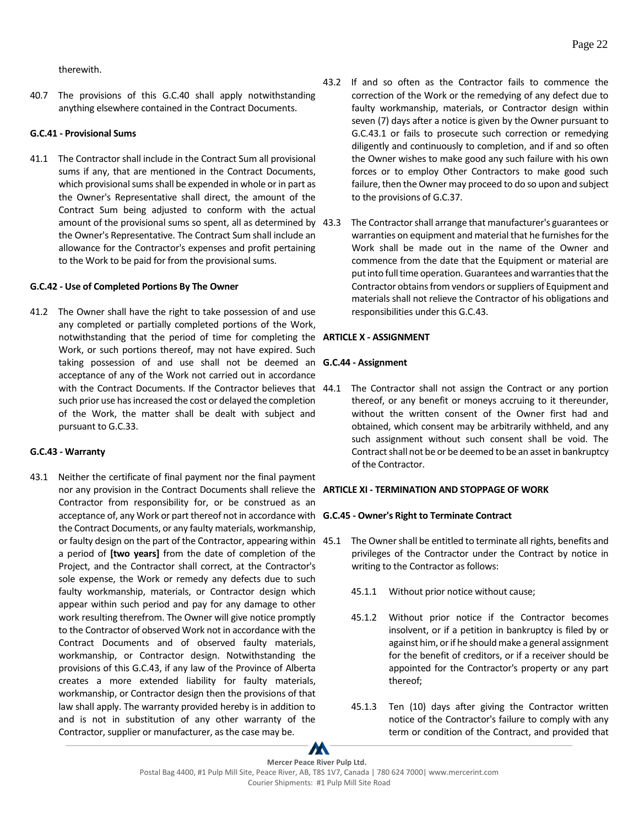therewith.

40.7 The provisions of this G.C.40 shall apply notwithstanding anything elsewhere contained in the Contract Documents.

### <span id="page-26-0"></span>**G.C.41 - Provisional Sums**

41.1 The Contractor shall include in the Contract Sum all provisional sums if any, that are mentioned in the Contract Documents, which provisional sums shall be expended in whole or in part as the Owner's Representative shall direct, the amount of the Contract Sum being adjusted to conform with the actual amount of the provisional sums so spent, all as determined by 43.3 the Owner's Representative. The Contract Sum shall include an allowance for the Contractor's expenses and profit pertaining to the Work to be paid for from the provisional sums.

### <span id="page-26-1"></span>**G.C.42 - Use of Completed Portions By The Owner**

41.2 The Owner shall have the right to take possession of and use any completed or partially completed portions of the Work, notwithstanding that the period of time for completing the **ARTICLE X - ASSIGNMENT** Work, or such portions thereof, may not have expired. Such taking possession of and use shall not be deemed an **G.C.44 - Assignment** acceptance of any of the Work not carried out in accordance with the Contract Documents. If the Contractor believes that 44.1 such prior use has increased the cost or delayed the completion of the Work, the matter shall be dealt with subject and pursuant to G.C.33.

### <span id="page-26-2"></span>**G.C.43 - Warranty**

43.1 Neither the certificate of final payment nor the final payment nor any provision in the Contract Documents shall relieve the **ARTICLE XI - TERMINATION AND STOPPAGE OF WORK**  Contractor from responsibility for, or be construed as an acceptance of, any Work or part thereof not in accordance with **G.C.45 - Owner's Right to Terminate Contract** the Contract Documents, or any faulty materials, workmanship, or faulty design on the part of the Contractor, appearing within a period of **[two years]** from the date of completion of the Project, and the Contractor shall correct, at the Contractor's sole expense, the Work or remedy any defects due to such faulty workmanship, materials, or Contractor design which appear within such period and pay for any damage to other work resulting therefrom. The Owner will give notice promptly to the Contractor of observed Work not in accordance with the Contract Documents and of observed faulty materials, workmanship, or Contractor design. Notwithstanding the provisions of this G.C.43, if any law of the Province of Alberta creates a more extended liability for faulty materials, workmanship, or Contractor design then the provisions of that law shall apply. The warranty provided hereby is in addition to and is not in substitution of any other warranty of the Contractor, supplier or manufacturer, as the case may be.

- 43.2 If and so often as the Contractor fails to commence the correction of the Work or the remedying of any defect due to faulty workmanship, materials, or Contractor design within seven (7) days after a notice is given by the Owner pursuant to G.C.43.1 or fails to prosecute such correction or remedying diligently and continuously to completion, and if and so often the Owner wishes to make good any such failure with his own forces or to employ Other Contractors to make good such failure, then the Owner may proceed to do so upon and subject to the provisions of G.C.37.
- 43.3 The Contractor shall arrange that manufacturer's guarantees or warranties on equipment and material that he furnishes for the Work shall be made out in the name of the Owner and commence from the date that the Equipment or material are put into full time operation. Guarantees and warranties that the Contractor obtains from vendors or suppliers of Equipment and materials shall not relieve the Contractor of his obligations and responsibilities under this G.C.43.

<span id="page-26-4"></span><span id="page-26-3"></span>The Contractor shall not assign the Contract or any portion thereof, or any benefit or moneys accruing to it thereunder, without the written consent of the Owner first had and obtained, which consent may be arbitrarily withheld, and any such assignment without such consent shall be void. The Contract shall not be or be deemed to be an asset in bankruptcy of the Contractor.

- <span id="page-26-6"></span><span id="page-26-5"></span>The Owner shall be entitled to terminate all rights, benefits and privileges of the Contractor under the Contract by notice in writing to the Contractor as follows:
	- 45.1.1 Without prior notice without cause;
	- 45.1.2 Without prior notice if the Contractor becomes insolvent, or if a petition in bankruptcy is filed by or against him, or if he should make a general assignment for the benefit of creditors, or if a receiver should be appointed for the Contractor's property or any part thereof;
	- 45.1.3 Ten (10) days after giving the Contractor written notice of the Contractor's failure to comply with any term or condition of the Contract, and provided that

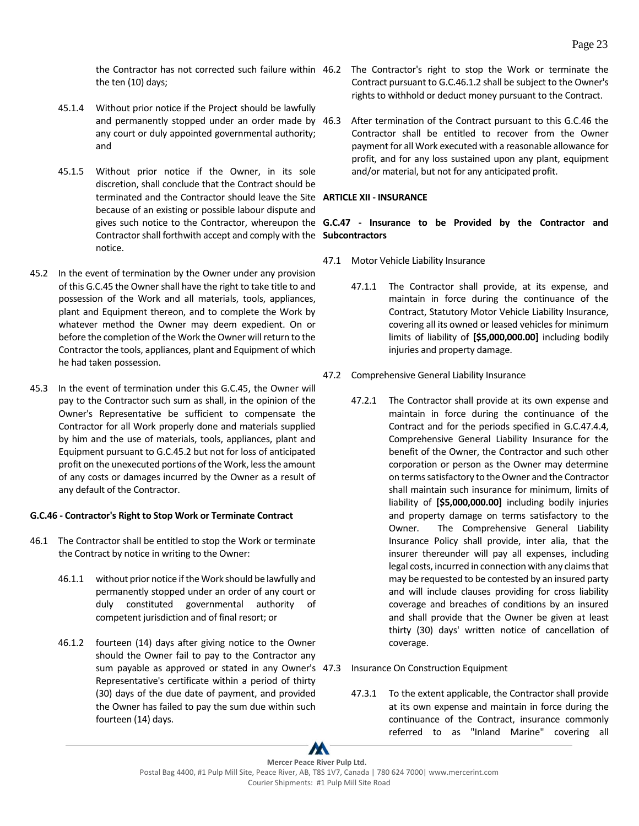the ten (10) days;

- 45.1.4 Without prior notice if the Project should be lawfully and permanently stopped under an order made by 46.3 any court or duly appointed governmental authority; and
- 45.1.5 Without prior notice if the Owner, in its sole discretion, shall conclude that the Contract should be terminated and the Contractor should leave the Site **ARTICLE XII - INSURANCE** because of an existing or possible labour dispute and Contractor shall forthwith accept and comply with the **Subcontractors** notice.
- 45.2 In the event of termination by the Owner under any provision of this G.C.45 the Owner shall have the right to take title to and possession of the Work and all materials, tools, appliances, plant and Equipment thereon, and to complete the Work by whatever method the Owner may deem expedient. On or before the completion of the Work the Owner will return to the Contractor the tools, appliances, plant and Equipment of which he had taken possession.
- 45.3 In the event of termination under this G.C.45, the Owner will pay to the Contractor such sum as shall, in the opinion of the Owner's Representative be sufficient to compensate the Contractor for all Work properly done and materials supplied by him and the use of materials, tools, appliances, plant and Equipment pursuant to G.C.45.2 but not for loss of anticipated profit on the unexecuted portions of the Work, less the amount of any costs or damages incurred by the Owner as a result of any default of the Contractor.

### <span id="page-27-0"></span>**G.C.46 - Contractor's Right to Stop Work or Terminate Contract**

- 46.1 The Contractor shall be entitled to stop the Work or terminate the Contract by notice in writing to the Owner:
	- 46.1.1 without prior notice if the Work should be lawfully and permanently stopped under an order of any court or duly constituted governmental authority of competent jurisdiction and of final resort; or
	- 46.1.2 fourteen (14) days after giving notice to the Owner should the Owner fail to pay to the Contractor any sum payable as approved or stated in any Owner's Representative's certificate within a period of thirty (30) days of the due date of payment, and provided the Owner has failed to pay the sum due within such fourteen (14) days.
- the Contractor has not corrected such failure within 46.2 The Contractor's right to stop the Work or terminate the Contract pursuant to G.C.46.1.2 shall be subject to the Owner's rights to withhold or deduct money pursuant to the Contract.
	- After termination of the Contract pursuant to this G.C.46 the Contractor shall be entitled to recover from the Owner payment for all Work executed with a reasonable allowance for profit, and for any loss sustained upon any plant, equipment and/or material, but not for any anticipated profit.

# gives such notice to the Contractor, whereupon the **G.C.47 - Insurance to be Provided by the Contractor and**

- <span id="page-27-2"></span><span id="page-27-1"></span>47.1 Motor Vehicle Liability Insurance
	- 47.1.1 The Contractor shall provide, at its expense, and maintain in force during the continuance of the Contract, Statutory Motor Vehicle Liability Insurance, covering all its owned or leased vehicles for minimum limits of liability of **[\$5,000,000.00]** including bodily injuries and property damage.
- 47.2 Comprehensive General Liability Insurance
	- 47.2.1 The Contractor shall provide at its own expense and maintain in force during the continuance of the Contract and for the periods specified in G.C.47.4.4, Comprehensive General Liability Insurance for the benefit of the Owner, the Contractor and such other corporation or person as the Owner may determine on terms satisfactory to the Owner and the Contractor shall maintain such insurance for minimum, limits of liability of **[\$5,000,000.00]** including bodily injuries and property damage on terms satisfactory to the Owner. The Comprehensive General Liability Insurance Policy shall provide, inter alia, that the insurer thereunder will pay all expenses, including legal costs, incurred in connection with any claims that may be requested to be contested by an insured party and will include clauses providing for cross liability coverage and breaches of conditions by an insured and shall provide that the Owner be given at least thirty (30) days' written notice of cancellation of coverage.
- Insurance On Construction Equipment
	- 47.3.1 To the extent applicable, the Contractor shall provide at its own expense and maintain in force during the continuance of the Contract, insurance commonly referred to as "Inland Marine" covering all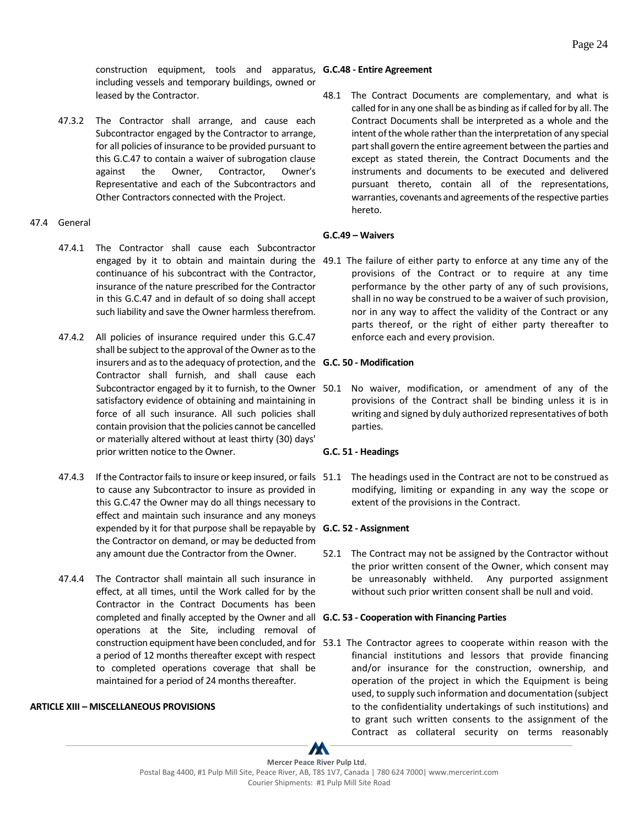47.3.2 The Contractor shall arrange, and cause each Subcontractor engaged by the Contractor to arrange, for all policies of insurance to be provided pursuant to this G.C.47 to contain a waiver of subrogation clause against the Owner, Contractor, Owner's Representative and each of the Subcontractors and Other Contractors connected with the Project.

### 47.4 General

- 47.4.1 The Contractor shall cause each Subcontractor continuance of his subcontract with the Contractor, insurance of the nature prescribed for the Contractor in this G.C.47 and in default of so doing shall accept such liability and save the Owner harmless therefrom.
- 47.4.2 All policies of insurance required under this G.C.47 shall be subject to the approval of the Owner as to the insurers and as to the adequacy of protection, and the **G.C. 50 - Modification** Contractor shall furnish, and shall cause each satisfactory evidence of obtaining and maintaining in force of all such insurance. All such policies shall contain provision that the policies cannot be cancelled or materially altered without at least thirty (30) days' prior written notice to the Owner.
- to cause any Subcontractor to insure as provided in this G.C.47 the Owner may do all things necessary to effect and maintain such insurance and any moneys expended by it for that purpose shall be repayable by **G.C. 52 - Assignment** the Contractor on demand, or may be deducted from any amount due the Contractor from the Owner.
- 47.4.4 The Contractor shall maintain all such insurance in effect, at all times, until the Work called for by the Contractor in the Contract Documents has been completed and finally accepted by the Owner and all **G.C. 53 - Cooperation with Financing Parties** operations at the Site, including removal of a period of 12 months thereafter except with respect to completed operations coverage that shall be maintained for a period of 24 months thereafter.

### <span id="page-28-0"></span>**ARTICLE XIII – MISCELLANEOUS PROVISIONS**

<span id="page-28-1"></span>48.1 The Contract Documents are complementary, and what is called for in any one shall be as binding as if called for by all. The Contract Documents shall be interpreted as a whole and the intent of the whole rather than the interpretation of any special part shall govern the entire agreement between the parties and except as stated therein, the Contract Documents and the instruments and documents to be executed and delivered pursuant thereto, contain all of the representations, warranties, covenants and agreements of the respective parties hereto.

### <span id="page-28-2"></span>**G.C.49 – Waivers**

engaged by it to obtain and maintain during the 49.1 The failure of either party to enforce at any time any of the provisions of the Contract or to require at any time performance by the other party of any of such provisions, shall in no way be construed to be a waiver of such provision, nor in any way to affect the validity of the Contract or any parts thereof, or the right of either party thereafter to enforce each and every provision.

Subcontractor engaged by it to furnish, to the Owner 50.1 No waiver, modification, or amendment of any of the provisions of the Contract shall be binding unless it is in writing and signed by duly authorized representatives of both parties.

### <span id="page-28-4"></span><span id="page-28-3"></span>**G.C. 51 - Headings**

47.4.3 If the Contractor fails to insure or keep insured, or fails 51.1 The headings used in the Contract are not to be construed as modifying, limiting or expanding in any way the scope or extent of the provisions in the Contract.

<span id="page-28-6"></span><span id="page-28-5"></span>52.1 The Contract may not be assigned by the Contractor without the prior written consent of the Owner, which consent may be unreasonably withheld. Any purported assignment without such prior written consent shall be null and void.

construction equipment have been concluded, and for 53.1 The Contractor agrees to cooperate within reason with the financial institutions and lessors that provide financing and/or insurance for the construction, ownership, and operation of the project in which the Equipment is being used, to supply such information and documentation (subject to the confidentiality undertakings of such institutions) and to grant such written consents to the assignment of the Contract as collateral security on terms reasonably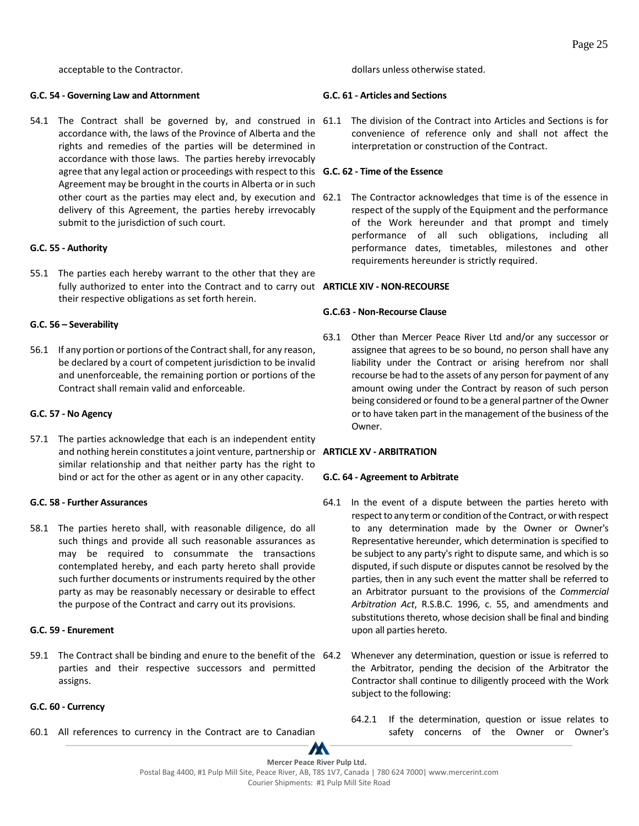acceptable to the Contractor.

#### <span id="page-29-0"></span>**G.C. 54 - Governing Law and Attornment**

54.1 The Contract shall be governed by, and construed in 61.1 The division of the Contract into Articles and Sections is for accordance with, the laws of the Province of Alberta and the rights and remedies of the parties will be determined in accordance with those laws. The parties hereby irrevocably agree that any legal action or proceedings with respect to this **G.C. 62 - Time of the Essence** Agreement may be brought in the courts in Alberta or in such delivery of this Agreement, the parties hereby irrevocably submit to the jurisdiction of such court.

### <span id="page-29-1"></span>**G.C. 55 - Authority**

55.1 The parties each hereby warrant to the other that they are fully authorized to enter into the Contract and to carry out **ARTICLE XIV - NON-RECOURSE** their respective obligations as set forth herein.

### <span id="page-29-2"></span>**G.C. 56 – Severability**

56.1 If any portion or portions of the Contract shall, for any reason, be declared by a court of competent jurisdiction to be invalid and unenforceable, the remaining portion or portions of the Contract shall remain valid and enforceable.

### <span id="page-29-3"></span>**G.C. 57 - No Agency**

57.1 The parties acknowledge that each is an independent entity and nothing herein constitutes a joint venture, partnership or **ARTICLE XV - ARBITRATION** similar relationship and that neither party has the right to bind or act for the other as agent or in any other capacity.

### <span id="page-29-4"></span>**G.C. 58 - Further Assurances**

58.1 The parties hereto shall, with reasonable diligence, do all such things and provide all such reasonable assurances as may be required to consummate the transactions contemplated hereby, and each party hereto shall provide such further documents or instruments required by the other party as may be reasonably necessary or desirable to effect the purpose of the Contract and carry out its provisions.

### <span id="page-29-5"></span>**G.C. 59 - Enurement**

59.1 The Contract shall be binding and enure to the benefit of the parties and their respective successors and permitted assigns.

# <span id="page-29-6"></span>**G.C. 60 - Currency**

60.1 All references to currency in the Contract are to Canadian

dollars unless otherwise stated.

# <span id="page-29-7"></span>**G.C. 61 - Articles and Sections**

<span id="page-29-8"></span>convenience of reference only and shall not affect the interpretation or construction of the Contract.

other court as the parties may elect and, by execution and 62.1 The Contractor acknowledges that time is of the essence in respect of the supply of the Equipment and the performance of the Work hereunder and that prompt and timely performance of all such obligations, including all performance dates, timetables, milestones and other requirements hereunder is strictly required.

### <span id="page-29-10"></span><span id="page-29-9"></span>**G.C.63 - Non-Recourse Clause**

63.1 Other than Mercer Peace River Ltd and/or any successor or assignee that agrees to be so bound, no person shall have any liability under the Contract or arising herefrom nor shall recourse be had to the assets of any person for payment of any amount owing under the Contract by reason of such person being considered or found to be a general partner of the Owner or to have taken part in the management of the business of the Owner.

### <span id="page-29-12"></span><span id="page-29-11"></span>**G.C. 64 - Agreement to Arbitrate**

- 64.1 In the event of a dispute between the parties hereto with respect to any term or condition of the Contract, or with respect to any determination made by the Owner or Owner's Representative hereunder, which determination is specified to be subject to any party's right to dispute same, and which is so disputed, if such dispute or disputes cannot be resolved by the parties, then in any such event the matter shall be referred to an Arbitrator pursuant to the provisions of the *Commercial Arbitration Act*, R.S.B.C. 1996, c. 55, and amendments and substitutions thereto, whose decision shall be final and binding upon all parties hereto.
	- Whenever any determination, question or issue is referred to the Arbitrator, pending the decision of the Arbitrator the Contractor shall continue to diligently proceed with the Work subject to the following:
		- 64.2.1 If the determination, question or issue relates to safety concerns of the Owner or Owner's